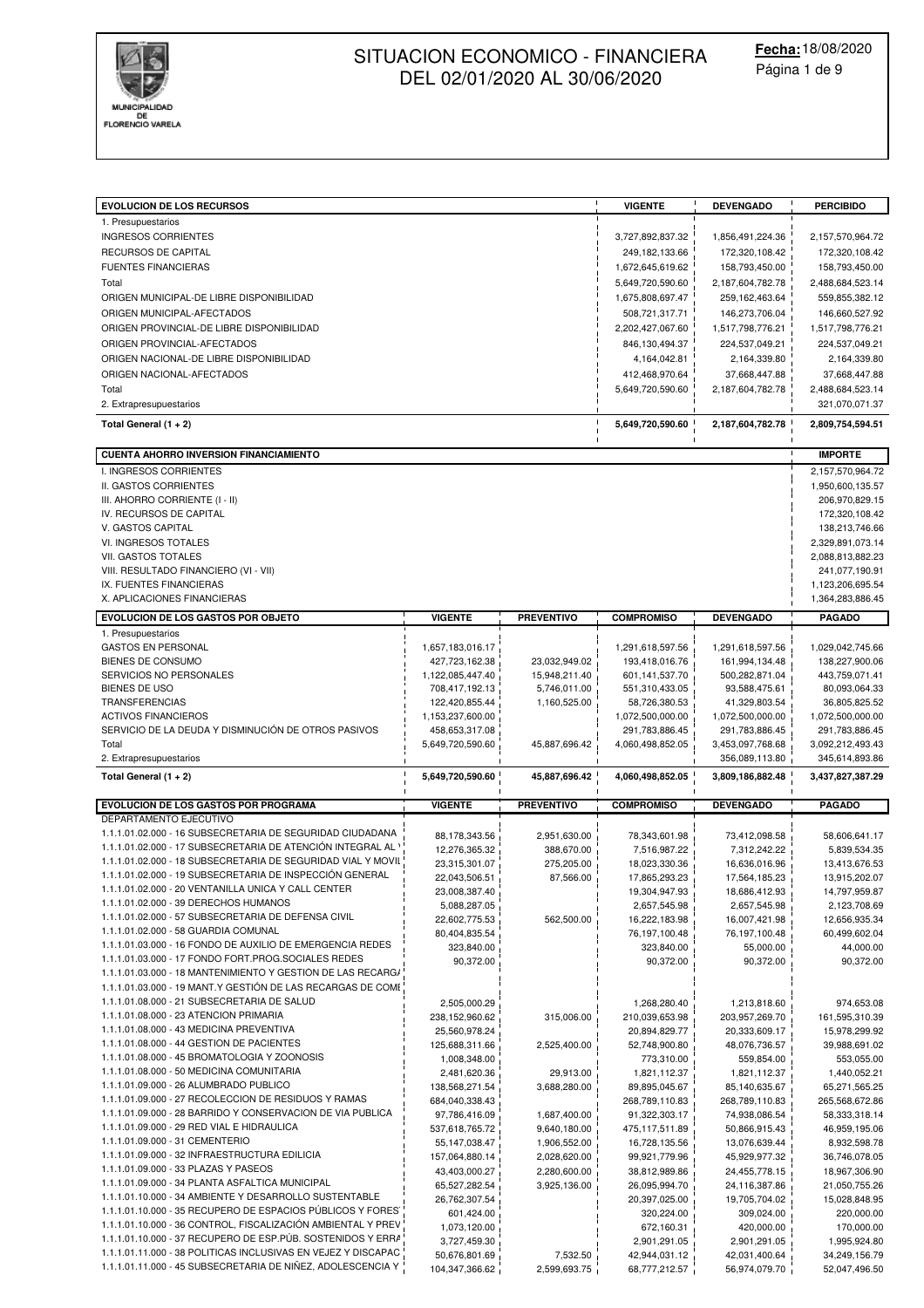

| <b>EVOLUCION DE LOS RECURSOS</b><br>1. Presupuestarios                                                                       |                               |                   | <b>VIGENTE</b>                | <b>DEVENGADO</b>              | <b>PERCIBIDO</b>                   |
|------------------------------------------------------------------------------------------------------------------------------|-------------------------------|-------------------|-------------------------------|-------------------------------|------------------------------------|
| <b>INGRESOS CORRIENTES</b>                                                                                                   |                               |                   | 3,727,892,837.32              | 1,856,491,224.36              | 2,157,570,964.72                   |
| RECURSOS DE CAPITAL                                                                                                          |                               |                   | 249,182,133.66                | 172,320,108.42                | 172,320,108.42                     |
| <b>FUENTES FINANCIERAS</b>                                                                                                   |                               |                   | 1,672,645,619.62              | 158,793,450.00                | 158,793,450.00                     |
| Total                                                                                                                        |                               |                   | 5,649,720,590.60              | 2,187,604,782.78              | 2,488,684,523.14                   |
| ORIGEN MUNICIPAL-DE LIBRE DISPONIBILIDAD                                                                                     |                               |                   | 1,675,808,697.47              | 259, 162, 463.64              | 559,855,382.12                     |
| ORIGEN MUNICIPAL-AFECTADOS                                                                                                   |                               |                   | 508,721,317.71                | 146,273,706.04                | 146,660,527.92                     |
| ORIGEN PROVINCIAL-DE LIBRE DISPONIBILIDAD                                                                                    |                               |                   | 2,202,427,067.60              | 1,517,798,776.21              | 1,517,798,776.21                   |
| ORIGEN PROVINCIAL-AFECTADOS                                                                                                  |                               |                   | 846,130,494.37                | 224,537,049.21                | 224,537,049.21                     |
| ORIGEN NACIONAL-DE LIBRE DISPONIBILIDAD                                                                                      |                               |                   | 4,164,042.81                  | 2,164,339.80                  | 2,164,339.80                       |
| ORIGEN NACIONAL-AFECTADOS                                                                                                    |                               |                   | 412,468,970.64                | 37,668,447.88                 | 37,668,447.88                      |
| Total                                                                                                                        |                               |                   | 5,649,720,590.60              | 2,187,604,782.78              | 2,488,684,523.14                   |
| 2. Extrapresupuestarios                                                                                                      |                               |                   |                               |                               | 321,070,071.37                     |
| Total General (1 + 2)                                                                                                        |                               |                   | 5,649,720,590.60              | 2,187,604,782.78              | 2,809,754,594.51                   |
| <b>CUENTA AHORRO INVERSION FINANCIAMIENTO</b>                                                                                |                               |                   |                               |                               | <b>IMPORTE</b>                     |
| I. INGRESOS CORRIENTES                                                                                                       |                               |                   |                               |                               | 2,157,570,964.72                   |
| II. GASTOS CORRIENTES<br>III. AHORRO CORRIENTE (I - II)                                                                      |                               |                   |                               |                               | 1,950,600,135.57<br>206,970,829.15 |
| IV. RECURSOS DE CAPITAL                                                                                                      |                               |                   |                               |                               | 172,320,108.42                     |
| V. GASTOS CAPITAL                                                                                                            |                               |                   |                               |                               | 138,213,746.66                     |
| VI. INGRESOS TOTALES                                                                                                         |                               |                   |                               |                               | 2,329,891,073.14                   |
| VII. GASTOS TOTALES                                                                                                          |                               |                   |                               |                               | 2,088,813,882.23                   |
| VIII. RESULTADO FINANCIERO (VI - VII)                                                                                        |                               |                   |                               |                               | 241,077,190.91                     |
| IX. FUENTES FINANCIERAS                                                                                                      |                               |                   |                               |                               | 1,123,206,695.54                   |
| X. APLICACIONES FINANCIERAS                                                                                                  |                               |                   |                               |                               | 1,364,283,886.45                   |
| <b>EVOLUCION DE LOS GASTOS POR OBJETO</b><br>1. Presupuestarios                                                              | <b>VIGENTE</b>                | <b>PREVENTIVO</b> | <b>COMPROMISO</b>             | <b>DEVENGADO</b>              | <b>PAGADO</b>                      |
| <b>GASTOS EN PERSONAL</b>                                                                                                    | 1,657,183,016.17              |                   | 1,291,618,597.56              | 1,291,618,597.56              | 1,029,042,745.66                   |
| BIENES DE CONSUMO                                                                                                            | 427,723,162.38                | 23,032,949.02     | 193,418,016.76                | 161,994,134.48                | 138,227,900.06                     |
| SERVICIOS NO PERSONALES                                                                                                      | 1,122,085,447.40              | 15,948,211.40     | 601,141,537.70                | 500,282,871.04                | 443,759,071.41                     |
| <b>BIENES DE USO</b>                                                                                                         | 708,417,192.13                | 5,746,011.00      | 551,310,433.05                | 93,588,475.61                 | 80,093,064.33                      |
| TRANSFERENCIAS                                                                                                               | 122,420,855.44                | 1,160,525.00      | 58,726,380.53                 | 41,329,803.54                 | 36,805,825.52                      |
| <b>ACTIVOS FINANCIEROS</b>                                                                                                   | 1,153,237,600.00              |                   | 1,072,500,000.00              | 1,072,500,000.00              | 1,072,500,000.00                   |
|                                                                                                                              | 458,653,317.08                |                   | 291,783,886.45                | 291,783,886.45                | 291,783,886.45                     |
| SERVICIO DE LA DEUDA Y DISMINUCIÓN DE OTROS PASIVOS                                                                          |                               |                   |                               |                               |                                    |
| Total                                                                                                                        | 5,649,720,590.60              | 45,887,696.42     | 4,060,498,852.05              | 3,453,097,768.68              | 3,092,212,493.43                   |
| 2. Extrapresupuestarios                                                                                                      |                               |                   |                               | 356,089,113.80                | 345,614,893.86                     |
| Total General (1 + 2)                                                                                                        | 5,649,720,590.60              | 45,887,696.42     | 4,060,498,852.05              | 3,809,186,882.48              | 3,437,827,387.29                   |
| <b>EVOLUCION DE LOS GASTOS POR PROGRAMA</b>                                                                                  | <b>VIGENTE</b>                | <b>PREVENTIVO</b> | <b>COMPROMISO</b>             | <b>DEVENGADO</b>              | <b>PAGADO</b>                      |
| DEPARTAMENTO EJECUTIVO                                                                                                       |                               |                   |                               |                               |                                    |
| 1.1.1.01.02.000 - 16 SUBSECRETARIA DE SEGURIDAD CIUDADANA                                                                    | 88,178,343.56                 | 2,951,630.00      | 78,343,601.98                 | 73,412,098.58                 | 58,606,641.17                      |
| 1.1.1.01.02.000 - 17 SUBSECRETARIA DE ATENCIÓN INTEGRAL AL V                                                                 | 12,276,365.32                 | 388,670.00        | 7,516,987.22                  | 7,312,242.22                  | 5,839,534.35                       |
| 1.1.1.01.02.000 - 18 SUBSECRETARIA DE SEGURIDAD VIAL Y MOVIL                                                                 | 23,315,301.07                 | 275,205.00        | 18,023,330.36                 | 16,636,016.96                 | 13,413,676.53                      |
| 1.1.1.01.02.000 - 19 SUBSECRETARIA DE INSPECCIÓN GENERAL<br>1.1.1.01.02.000 - 20 VENTANILLA UNICA Y CALL CENTER              | 22,043,506.51                 | 87,566.00         | 17,865,293.23                 | 17,564,185.23                 | 13,915,202.07                      |
| 1.1.1.01.02.000 - 39 DERECHOS HUMANOS                                                                                        | 23,008,387.40<br>5,088,287.05 |                   | 19,304,947.93                 | 18,686,412.93                 | 14,797,959.87                      |
| 1.1.1.01.02.000 - 57 SUBSECRETARIA DE DEFENSA CIVIL                                                                          | 22,602,775.53                 | 562,500.00        | 2,657,545.98<br>16,222,183.98 | 2,657,545.98<br>16,007,421.98 | 2,123,708.69<br>12,656,935.34      |
| 1.1.1.01.02.000 - 58 GUARDIA COMUNAL                                                                                         | 80,404,835.54                 |                   | 76,197,100.48                 | 76,197,100.48                 | 60,499,602.04                      |
| 1.1.1.01.03.000 - 16 FONDO DE AUXILIO DE EMERGENCIA REDES                                                                    | 323,840.00                    |                   | 323,840.00                    | 55,000.00                     | 44,000.00                          |
| 1.1.1.01.03.000 - 17 FONDO FORT.PROG.SOCIALES REDES                                                                          | 90,372.00                     |                   | 90,372.00                     | 90,372.00                     | 90,372.00                          |
| 1.1.1.01.03.000 - 18 MANTENIMIENTO Y GESTIÓN DE LAS RECARG/                                                                  |                               |                   |                               |                               |                                    |
| 1.1.1.01.03.000 - 19 MANT.Y GESTIÓN DE LAS RECARGAS DE COME                                                                  |                               |                   |                               |                               |                                    |
| 1.1.1.01.08.000 - 21 SUBSECRETARIA DE SALUD                                                                                  | 2,505,000.29                  |                   | 1,268,280.40                  | 1,213,818.60                  | 974,653.08                         |
| 1.1.1.01.08.000 - 23 ATENCION PRIMARIA                                                                                       | 238,152,960.62                | 315,006.00        | 210,039,653.98                | 203,957,269.70                | 161,595,310.39                     |
| 1.1.1.01.08.000 - 43 MEDICINA PREVENTIVA<br>1.1.1.01.08.000 - 44 GESTION DE PACIENTES                                        | 25,560,978.24                 |                   | 20,894,829.77                 | 20,333,609.17                 | 15,978,299.92                      |
| 1.1.1.01.08.000 - 45 BROMATOLOGIA Y ZOONOSIS                                                                                 | 125,688,311.66                | 2,525,400.00      | 52,748,900.80                 | 48,076,736.57                 | 39,988,691.02                      |
| 1.1.1.01.08.000 - 50 MEDICINA COMUNITARIA                                                                                    | 1,008,348.00<br>2,481,620.36  | 29,913.00         | 773,310.00                    | 559,854.00<br>1,821,112.37    | 553,055.00<br>1,440,052.21         |
| 1.1.1.01.09.000 - 26 ALUMBRADO PUBLICO                                                                                       | 138,568,271.54                | 3,688,280.00      | 1,821,112.37<br>89,895,045.67 | 85,140,635.67                 | 65,271,565.25                      |
| 1.1.1.01.09.000 - 27 RECOLECCION DE RESIDUOS Y RAMAS                                                                         | 684,040,338.43                |                   | 268,789,110.83                | 268,789,110.83                | 265,568,672.86                     |
| 1.1.1.01.09.000 - 28 BARRIDO Y CONSERVACION DE VIA PUBLICA                                                                   | 97,786,416.09                 | 1,687,400.00      | 91,322,303.17                 | 74,938,086.54                 | 58,333,318.14                      |
| 1.1.1.01.09.000 - 29 RED VIAL E HIDRAULICA                                                                                   | 537,618,765.72                | 9,640,180.00      | 475,117,511.89                | 50,866,915.43                 | 46,959,195.06                      |
| 1.1.1.01.09.000 - 31 CEMENTERIO                                                                                              | 55, 147, 038.47               | 1,906,552.00      | 16,728,135.56                 | 13,076,639.44                 | 8,932,598.78                       |
| 1.1.1.01.09.000 - 32 INFRAESTRUCTURA EDILICIA                                                                                | 157,064,880.14                | 2,028,620.00      | 99,921,779.96                 | 45,929,977.32                 | 36,746,078.05                      |
| 1.1.1.01.09.000 - 33 PLAZAS Y PASEOS                                                                                         | 43,403,000.27                 | 2,280,600.00      | 38,812,989.86                 | 24,455,778.15                 | 18,967,306.90                      |
| 1.1.1.01.09.000 - 34 PLANTA ASFALTICA MUNICIPAL<br>1.1.1.01.10.000 - 34 AMBIENTE Y DESARROLLO SUSTENTABLE                    | 65,527,282.54                 | 3,925,136.00      | 26,095,994.70                 | 24,116,387.86                 | 21,050,755.26                      |
| 1.1.1.01.10.000 - 35 RECUPERO DE ESPACIOS PÚBLICOS Y FORES                                                                   | 26,762,307.54                 |                   | 20,397,025.00                 | 19,705,704.02                 | 15,028,848.95                      |
| 1.1.1.01.10.000 - 36 CONTROL, FISCALIZACIÓN AMBIENTAL Y PREV                                                                 | 601,424.00<br>1,073,120.00    |                   | 320,224.00<br>672,160.31      | 309,024.00<br>420,000.00      | 220,000.00<br>170,000.00           |
| 1.1.1.01.10.000 - 37 RECUPERO DE ESP.PÚB. SOSTENIDOS Y ERRA                                                                  | 3,727,459.30                  |                   | 2,901,291.05                  | 2,901,291.05                  | 1,995,924.80                       |
| 1.1.1.01.11.000 - 38 POLITICAS INCLUSIVAS EN VEJEZ Y DISCAPAC<br>1.1.1.01.11.000 - 45 SUBSECRETARIA DE NIÑEZ, ADOLESCENCIA Y | 50,676,801.69                 | 7,532.50          | 42,944,031.12                 | 42,031,400.64                 | 34,249,156.79                      |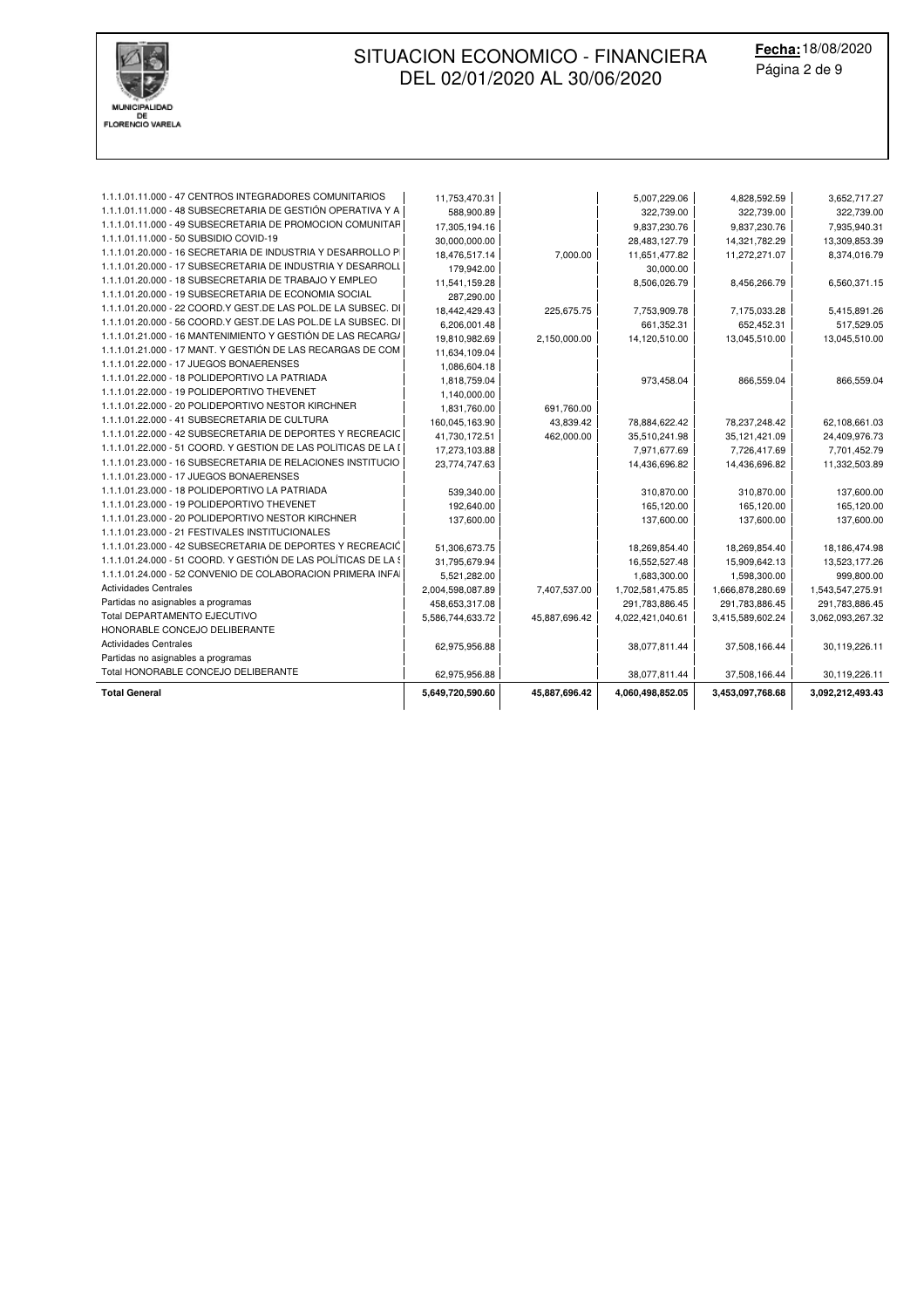

**Fecha:** 18/08/2020 Página 2 de 9

| <b>Total General</b>                                           | 5,649,720,590.60 | 45,887,696.42 | 4,060,498,852.05 | 3,453,097,768.68 | 3,092,212,493.43 |
|----------------------------------------------------------------|------------------|---------------|------------------|------------------|------------------|
| Total HONORABLE CONCEJO DELIBERANTE                            | 62,975,956.88    |               | 38,077,811.44    | 37,508,166.44    | 30,119,226.11    |
| Partidas no asignables a programas                             |                  |               |                  |                  |                  |
| <b>Actividades Centrales</b>                                   | 62,975,956.88    |               | 38,077,811.44    | 37,508,166.44    | 30,119,226.11    |
| HONORABLE CONCEJO DELIBERANTE                                  |                  |               |                  |                  |                  |
| Total DEPARTAMENTO EJECUTIVO                                   | 5,586,744,633.72 | 45,887,696.42 | 4,022,421,040.61 | 3,415,589,602.24 | 3,062,093,267.32 |
| Partidas no asignables a programas                             | 458,653,317.08   |               | 291,783,886.45   | 291,783,886.45   | 291,783,886.45   |
| <b>Actividades Centrales</b>                                   | 2,004,598,087.89 | 7,407,537.00  | 1,702,581,475.85 | 1,666,878,280.69 | 1,543,547,275.91 |
| 1.1.1.01.24.000 - 52 CONVENIO DE COLABORACION PRIMERA INFA     | 5,521,282.00     |               | 1,683,300.00     | 1,598,300.00     | 999,800.00       |
| 1.1.1.01.24.000 - 51 COORD. Y GESTIÓN DE LAS POLÍTICAS DE LA S | 31,795,679.94    |               | 16,552,527.48    | 15,909,642.13    | 13,523,177.26    |
| 1.1.1.01.23.000 - 42 SUBSECRETARIA DE DEPORTES Y RECREACIĆ     | 51,306,673.75    |               | 18,269,854.40    | 18,269,854.40    | 18,186,474.98    |
| 1.1.1.01.23.000 - 21 FESTIVALES INSTITUCIONALES                |                  |               |                  |                  |                  |
| 1.1.1.01.23.000 - 20 POLIDEPORTIVO NESTOR KIRCHNER             | 137,600.00       |               | 137,600.00       | 137,600.00       | 137,600.00       |
| 1.1.1.01.23.000 - 19 POLIDEPORTIVO THEVENET                    | 192,640.00       |               | 165,120.00       | 165,120.00       | 165,120.00       |
| 1.1.1.01.23.000 - 18 POLIDEPORTIVO LA PATRIADA                 | 539,340.00       |               | 310,870.00       | 310,870.00       | 137,600.00       |
| 1.1.1.01.23.000 - 17 JUEGOS BONAERENSES                        |                  |               |                  |                  |                  |
| 1.1.1.01.23.000 - 16 SUBSECRETARIA DE RELACIONES INSTITUCIO    | 23,774,747.63    |               | 14,436,696.82    | 14,436,696.82    | 11,332,503.89    |
| 1.1.1.01.22.000 - 51 COORD. Y GESTIÓN DE LAS POLÍTICAS DE LA I | 17,273,103.88    |               | 7,971,677.69     | 7,726,417.69     | 7,701,452.79     |
| 1.1.1.01.22.000 - 42 SUBSECRETARIA DE DEPORTES Y RECREACIC     | 41,730,172.51    | 462,000.00    | 35,510,241.98    | 35,121,421.09    | 24,409,976.73    |
| 1.1.1.01.22.000 - 41 SUBSECRETARIA DE CULTURA                  | 160,045,163.90   | 43,839.42     | 78,884,622.42    | 78,237,248.42    | 62,108,661.03    |
| 1.1.1.01.22.000 - 20 POLIDEPORTIVO NESTOR KIRCHNER             | 1,831,760.00     | 691,760.00    |                  |                  |                  |
| 1.1.1.01.22.000 - 19 POLIDEPORTIVO THEVENET                    | 1,140,000.00     |               |                  |                  |                  |
| 1.1.1.01.22.000 - 18 POLIDEPORTIVO LA PATRIADA                 | 1,818,759.04     |               | 973,458.04       | 866,559.04       | 866,559.04       |
| 1.1.1.01.22.000 - 17 JUEGOS BONAERENSES                        | 1,086,604.18     |               |                  |                  |                  |
| 1.1.1.01.21.000 - 17 MANT. Y GESTIÓN DE LAS RECARGAS DE COM    | 11,634,109.04    |               |                  |                  |                  |
| 1.1.1.01.21.000 - 16 MANTENIMIENTO Y GESTIÓN DE LAS RECARG/    | 19,810,982.69    | 2,150,000.00  | 14,120,510.00    | 13,045,510.00    | 13,045,510.00    |
| 1.1.1.01.20.000 - 56 COORD.Y GEST.DE LAS POL.DE LA SUBSEC. DI  | 6,206,001.48     |               | 661,352.31       | 652,452.31       | 517,529.05       |
| 1.1.1.01.20.000 - 22 COORD.Y GEST.DE LAS POL.DE LA SUBSEC. DI  | 18,442,429.43    | 225,675.75    | 7,753,909.78     | 7,175,033.28     | 5,415,891.26     |
| 1.1.1.01.20.000 - 19 SUBSECRETARIA DE ECONOMIA SOCIAL          | 287,290.00       |               |                  |                  |                  |
| 1.1.1.01.20.000 - 18 SUBSECRETARIA DE TRABAJO Y EMPLEO         | 11,541,159.28    |               | 8,506,026.79     | 8,456,266.79     | 6,560,371.15     |
| 1.1.1.01.20.000 - 17 SUBSECRETARIA DE INDUSTRIA Y DESARROLL    | 179,942.00       |               | 30,000.00        |                  |                  |
| 1.1.1.01.20.000 - 16 SECRETARIA DE INDUSTRIA Y DESARROLLO P    | 18,476,517.14    | 7.000.00      | 11,651,477.82    | 11,272,271.07    | 8,374,016.79     |
| 1.1.1.01.11.000 - 50 SUBSIDIO COVID-19                         | 30,000,000.00    |               | 28,483,127.79    | 14,321,782.29    | 13,309,853.39    |
| 1.1.1.01.11.000 - 49 SUBSECRETARIA DE PROMOCION COMUNITAR      | 17,305,194.16    |               | 9,837,230.76     | 9,837,230.76     | 7,935,940.31     |
| 1.1.1.01.11.000 - 48 SUBSECRETARIA DE GESTIÓN OPERATIVA Y A    | 588,900.89       |               | 322,739.00       | 322,739.00       | 322,739.00       |
| 1.1.1.01.11.000 - 47 CENTROS INTEGRADORES COMUNITARIOS         | 11,753,470.31    |               | 5,007,229.06     | 4,828,592.59     | 3,652,717.27     |
|                                                                |                  |               |                  |                  |                  |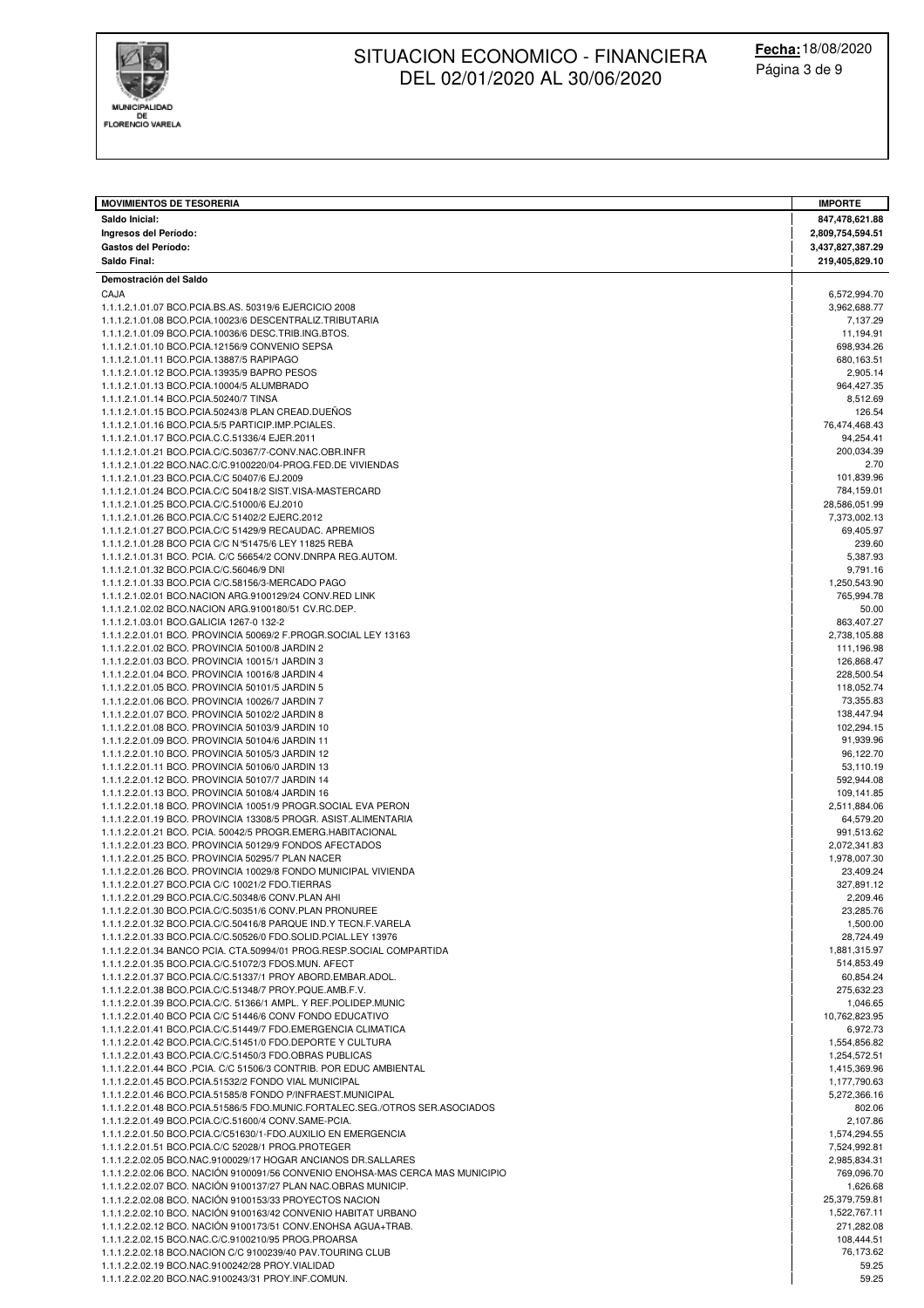

| <b>MOVIMIENTOS DE TESORERIA</b><br>Saldo Inicial:                                                                          | <b>IMPORTE</b><br>847,478,621.88 |
|----------------------------------------------------------------------------------------------------------------------------|----------------------------------|
| Ingresos del Período:                                                                                                      | 2,809,754,594.51                 |
| <b>Gastos del Período:</b>                                                                                                 | 3,437,827,387.29                 |
| Saldo Final:                                                                                                               | 219,405,829.10                   |
| Demostración del Saldo                                                                                                     |                                  |
| CAJA<br>1.1.1.2.1.01.07 BCO.PCIA.BS.AS. 50319/6 EJERCICIO 2008                                                             | 6,572,994.70<br>3,962,688.77     |
| 1.1.1.2.1.01.08 BCO.PCIA.10023/6 DESCENTRALIZ.TRIBUTARIA                                                                   | 7,137.29                         |
| 1.1.1.2.1.01.09 BCO.PCIA.10036/6 DESC.TRIB.ING.BTOS.                                                                       | 11,194.91                        |
| 1.1.1.2.1.01.10 BCO.PCIA.12156/9 CONVENIO SEPSA<br>1.1.1.2.1.01.11 BCO.PCIA.13887/5 RAPIPAGO                               | 698,934.26                       |
| 1.1.1.2.1.01.12 BCO.PCIA.13935/9 BAPRO PESOS                                                                               | 680,163.51<br>2,905.14           |
| 1.1.1.2.1.01.13 BCO.PCIA.10004/5 ALUMBRADO                                                                                 | 964,427.35                       |
| 1.1.1.2.1.01.14 BCO.PCIA.50240/7 TINSA                                                                                     | 8,512.69                         |
| 1.1.1.2.1.01.15 BCO.PCIA.50243/8 PLAN CREAD.DUENOS                                                                         | 126.54                           |
| 1.1.1.2.1.01.16 BCO.PCIA.5/5 PARTICIP.IMP.PCIALES.<br>1.1.1.2.1.01.17 BCO.PCIA.C.C.51336/4 EJER.2011                       | 76,474,468.43<br>94,254.41       |
| 1.1.1.2.1.01.21 BCO.PCIA.C/C.50367/7-CONV.NAC.OBR.INFR                                                                     | 200,034.39                       |
| 1.1.1.2.1.01.22 BCO.NAC.C/C.9100220/04-PROG.FED.DE VIVIENDAS                                                               | 2.70                             |
| 1.1.1.2.1.01.23 BCO.PCIA.C/C 50407/6 EJ.2009                                                                               | 101,839.96                       |
| 1.1.1.2.1.01.24 BCO.PCIA.C/C 50418/2 SIST.VISA-MASTERCARD<br>1.1.1.2.1.01.25 BCO.PCIA.C/C.51000/6 EJ.2010                  | 784,159.01<br>28,586,051.99      |
| 1.1.1.2.1.01.26 BCO.PCIA.C/C 51402/2 EJERC.2012                                                                            | 7,373,002.13                     |
| 1.1.1.2.1.01.27 BCO.PCIA.C/C 51429/9 RECAUDAC. APREMIOS                                                                    | 69,405.97                        |
| 1.1.1.2.1.01.28 BCO PCIA C/C N°51475/6 LEY 11825 REBA                                                                      | 239.60                           |
| 1.1.1.2.1.01.31 BCO. PCIA. C/C 56654/2 CONV.DNRPA REG.AUTOM.<br>1.1.1.2.1.01.32 BCO.PCIA.C/C.56046/9 DNI                   | 5,387.93<br>9,791.16             |
| 1.1.1.2.1.01.33 BCO.PCIA C/C.58156/3-MERCADO PAGO                                                                          | 1,250,543.90                     |
| 1.1.1.2.1.02.01 BCO.NACION ARG.9100129/24 CONV.RED LINK                                                                    | 765,994.78                       |
| 1.1.1.2.1.02.02 BCO.NACION ARG.9100180/51 CV.RC.DEP.                                                                       | 50.00                            |
| 1.1.1.2.1.03.01 BCO.GALICIA 1267-0 132-2                                                                                   | 863,407.27                       |
| 1.1.1.2.2.01.01 BCO. PROVINCIA 50069/2 F.PROGR.SOCIAL LEY 13163<br>1.1.1.2.2.01.02 BCO. PROVINCIA 50100/8 JARDIN 2         | 2,738,105.88<br>111,196.98       |
| 1.1.1.2.2.01.03 BCO. PROVINCIA 10015/1 JARDIN 3                                                                            | 126,868.47                       |
| 1.1.1.2.2.01.04 BCO. PROVINCIA 10016/8 JARDIN 4                                                                            | 228,500.54                       |
| 1.1.1.2.2.01.05 BCO. PROVINCIA 50101/5 JARDIN 5                                                                            | 118,052.74                       |
| 1.1.1.2.2.01.06 BCO. PROVINCIA 10026/7 JARDIN 7                                                                            | 73,355.83                        |
| 1.1.1.2.2.01.07 BCO. PROVINCIA 50102/2 JARDIN 8<br>1.1.1.2.2.01.08 BCO. PROVINCIA 50103/9 JARDIN 10                        | 138,447.94<br>102,294.15         |
| 1.1.1.2.2.01.09 BCO. PROVINCIA 50104/6 JARDIN 11                                                                           | 91,939.96                        |
| 1.1.1.2.2.01.10 BCO. PROVINCIA 50105/3 JARDIN 12                                                                           | 96,122.70                        |
| 1.1.1.2.2.01.11 BCO. PROVINCIA 50106/0 JARDIN 13                                                                           | 53,110.19                        |
| 1.1.1.2.2.01.12 BCO. PROVINCIA 50107/7 JARDIN 14<br>1.1.1.2.2.01.13 BCO. PROVINCIA 50108/4 JARDIN 16                       | 592,944.08<br>109,141.85         |
| 1.1.1.2.2.01.18 BCO. PROVINCIA 10051/9 PROGR.SOCIAL EVA PERON                                                              | 2,511,884.06                     |
| 1.1.1.2.2.01.19 BCO. PROVINCIA 13308/5 PROGR. ASIST.ALIMENTARIA                                                            | 64,579.20                        |
| 1.1.1.2.2.01.21 BCO. PCIA. 50042/5 PROGR.EMERG.HABITACIONAL                                                                | 991,513.62                       |
| 1.1.1.2.2.01.23 BCO. PROVINCIA 50129/9 FONDOS AFECTADOS<br>1.1.1.2.2.01.25 BCO. PROVINCIA 50295/7 PLAN NACER               | 2,072,341.83<br>1,978,007.30     |
| 1.1.1.2.2.01.26 BCO. PROVINCIA 10029/8 FONDO MUNICIPAL VIVIENDA                                                            | 23,409.24                        |
| 1.1.1.2.2.01.27 BCO.PCIA C/C 10021/2 FDO.TIERRAS                                                                           | 327,891.12                       |
| 1.1.1.2.2.01.29 BCO.PCIA.C/C.50348/6 CONV.PLAN AHI                                                                         | 2,209.46                         |
| 1.1.1.2.2.01.30 BCO.PCIA.C/C.50351/6 CONV.PLAN PRONUREE<br>1.1.1.2.2.01.32 BCO.PCIA.C/C.50416/8 PARQUE IND.Y TECN.F.VARELA | 23,285.76<br>1,500.00            |
| 1.1.1.2.2.01.33 BCO.PCIA.C/C.50526/0 FDO.SOLID.PCIAL.LEY 13976                                                             | 28,724.49                        |
| 1.1.1.2.2.01.34 BANCO PCIA, CTA,50994/01 PROG, RESP, SOCIAL COMPARTIDA                                                     | 1,881,315.97                     |
| 1.1.1.2.2.01.35 BCO.PCIA.C/C.51072/3 FDOS.MUN. AFECT                                                                       | 514,853.49                       |
| 1.1.1.2.2.01.37 BCO.PCIA.C/C.51337/1 PROY ABORD.EMBAR.ADOL.                                                                | 60,854.24<br>275,632.23          |
| 1.1.1.2.2.01.38 BCO.PCIA.C/C.51348/7 PROY.PQUE.AMB.F.V.<br>1.1.1.2.2.01.39 BCO.PCIA.C/C. 51366/1 AMPL. Y REF.POLIDEP.MUNIC | 1,046.65                         |
| 1.1.1.2.2.01.40 BCO PCIA C/C 51446/6 CONV FONDO EDUCATIVO                                                                  | 10,762,823.95                    |
| 1.1.1.2.2.01.41 BCO.PCIA.C/C.51449/7 FDO.EMERGENCIA CLIMATICA                                                              | 6,972.73                         |
| 1.1.1.2.2.01.42 BCO.PCIA.C/C.51451/0 FDO.DEPORTE Y CULTURA<br>1.1.1.2.2.01.43 BCO.PCIA.C/C.51450/3 FDO.OBRAS PUBLICAS      | 1,554,856.82                     |
| 1.1.1.2.2.01.44 BCO .PCIA. C/C 51506/3 CONTRIB. POR EDUC AMBIENTAL                                                         | 1,254,572.51<br>1,415,369.96     |
| 1.1.1.2.2.01.45 BCO.PCIA.51532/2 FONDO VIAL MUNICIPAL                                                                      | 1,177,790.63                     |
| 1.1.1.2.2.01.46 BCO.PCIA.51585/8 FONDO P/INFRAEST.MUNICIPAL                                                                | 5,272,366.16                     |
| 1.1.1.2.2.01.48 BCO.PCIA.51586/5 FDO.MUNIC.FORTALEC.SEG./OTROS SER.ASOCIADOS                                               | 802.06                           |
| 1.1.1.2.2.01.49 BCO.PCIA.C/C.51600/4 CONV.SAME-PCIA.<br>1.1.1.2.2.01.50 BCO.PCIA.C/C51630/1-FDO.AUXILIO EN EMERGENCIA      | 2,107.86<br>1,574,294.55         |
| 1.1.1.2.2.01.51 BCO.PCIA.C/C 52028/1 PROG.PROTEGER                                                                         | 7,524,992.81                     |
| 1.1.1.2.2.02.05 BCO.NAC.9100029/17 HOGAR ANCIANOS DR.SALLARES                                                              | 2,985,834.31                     |
| 1.1.1.2.2.02.06 BCO. NACIÓN 9100091/56 CONVENIO ENOHSA-MAS CERCA MAS MUNICIPIO                                             | 769,096.70                       |
| 1.1.1.2.2.02.07 BCO. NACIÓN 9100137/27 PLAN NAC.OBRAS MUNICIP.                                                             | 1,626.68                         |
| 1.1.1.2.2.02.08 BCO. NACIÓN 9100153/33 PROYECTOS NACION<br>1.1.1.2.2.02.10 BCO. NACIÓN 9100163/42 CONVENIO HABITAT URBANO  | 25,379,759.81<br>1,522,767.11    |
| 1.1.1.2.2.02.12 BCO. NACIÓN 9100173/51 CONV.ENOHSA AGUA+TRAB.                                                              | 271,282.08                       |
| 1.1.1.2.2.02.15 BCO.NAC.C/C.9100210/95 PROG.PROARSA                                                                        | 108,444.51                       |
| 1.1.1.2.2.02.18 BCO.NACION C/C 9100239/40 PAV.TOURING CLUB                                                                 | 76,173.62                        |
| 1.1.1.2.2.02.19 BCO.NAC.9100242/28 PROY.VIALIDAD<br>1.1.1.2.2.02.20 BCO.NAC.9100243/31 PROY.INF.COMUN.                     | 59.25<br>59.25                   |
|                                                                                                                            |                                  |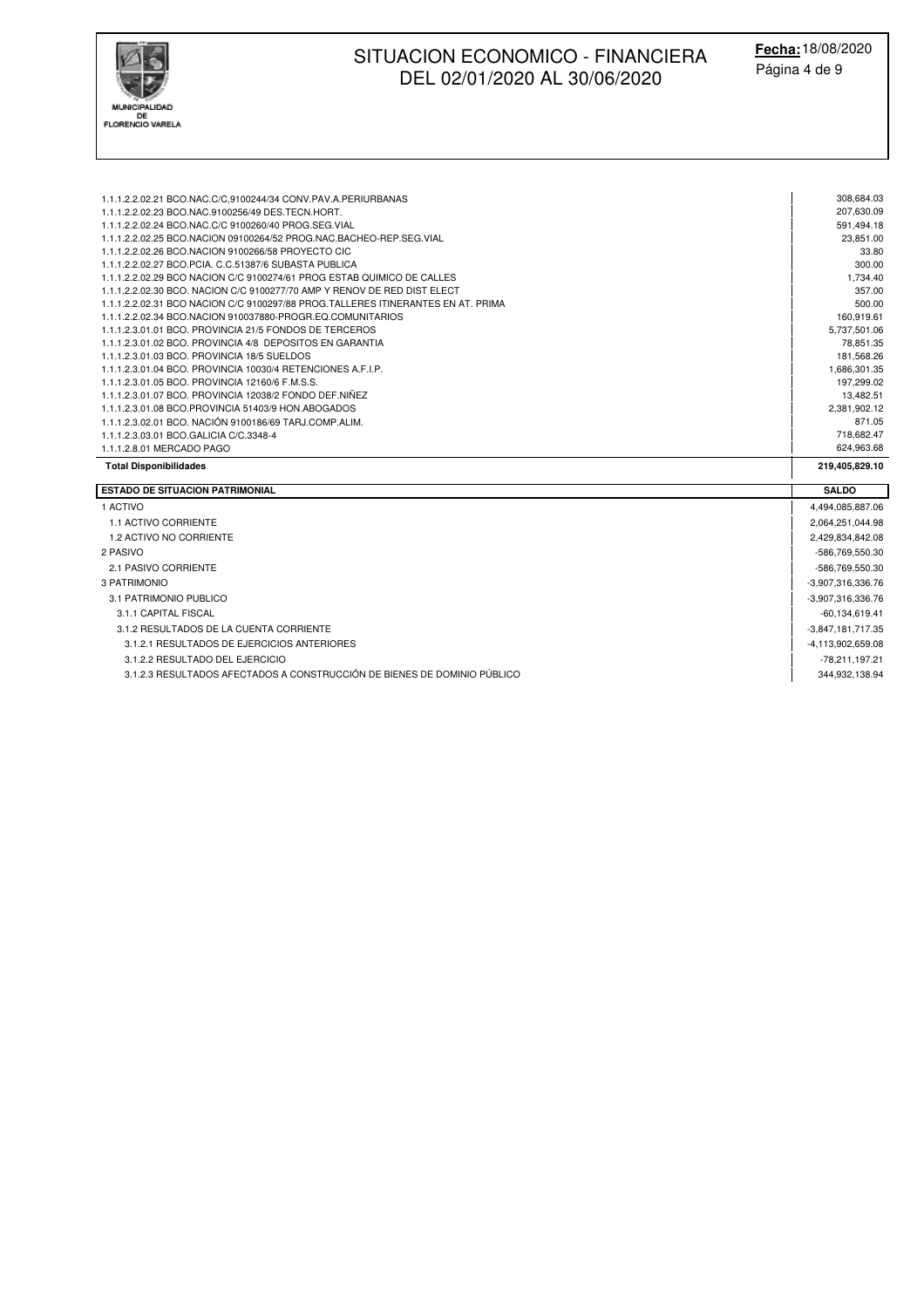

| 1.1.1.2.2.02.21 BCO.NAC.C/C,9100244/34 CONV.PAV.A.PERIURBANAS                    | 308,684.03         |
|----------------------------------------------------------------------------------|--------------------|
| 1.1.1.2.2.02.23 BCO.NAC.9100256/49 DES.TECN.HORT.                                | 207,630.09         |
| 1.1.1.2.2.02.24 BCO.NAC.C/C 9100260/40 PROG.SEG.VIAL                             | 591,494.18         |
| 1.1.1.2.2.02.25 BCO.NACION 09100264/52 PROG.NAC.BACHEO-REP.SEG.VIAL              | 23,851.00          |
| 1.1.1.2.2.02.26 BCO.NACION 9100266/58 PROYECTO CIC                               | 33.80              |
| 1.1.1.2.2.02.27 BCO.PCIA, C.C.51387/6 SUBASTA PUBLICA                            | 300.00             |
| 1.1.1.2.2.02.29 BCO NACION C/C 9100274/61 PROG ESTAB QUIMICO DE CALLES           | 1,734.40           |
| 1.1.1.2.2.02.30 BCO, NACION C/C 9100277/70 AMP Y RENOV DE RED DIST ELECT         | 357.00             |
| 1.1.1.2.2.02.31 BCO NACION C/C 9100297/88 PROG.TALLERES ITINERANTES EN AT. PRIMA | 500.00             |
| 1.1.1.2.2.02.34 BCO.NACION 910037880-PROGR.EQ.COMUNITARIOS                       | 160,919.61         |
| 1.1.1.2.3.01.01 BCO, PROVINCIA 21/5 FONDOS DE TERCEROS                           | 5,737,501.06       |
| 1.1.1.2.3.01.02 BCO, PROVINCIA 4/8 DEPOSITOS EN GARANTIA                         | 78,851.35          |
| 1.1.1.2.3.01.03 BCO, PROVINCIA 18/5 SUELDOS                                      | 181,568.26         |
| 1.1.1.2.3.01.04 BCO, PROVINCIA 10030/4 RETENCIONES A.F.I.P.                      | 1,686,301.35       |
| 1.1.1.2.3.01.05 BCO, PROVINCIA 12160/6 F.M.S.S.                                  | 197,299.02         |
| 1.1.1.2.3.01.07 BCO, PROVINCIA 12038/2 FONDO DEF.NIÑEZ                           | 13,482.51          |
| 1.1.1.2.3.01.08 BCO.PROVINCIA 51403/9 HON.ABOGADOS                               | 2,381,902.12       |
| 1.1.1.2.3.02.01 BCO. NACIÓN 9100186/69 TARJ.COMP.ALIM.                           | 871.05             |
| 1.1.1.2.3.03.01 BCO.GALICIA C/C.3348-4                                           | 718,682.47         |
| 1.1.1.2.8.01 MERCADO PAGO                                                        | 624,963.68         |
| <b>Total Disponibilidades</b>                                                    | 219,405,829.10     |
| <b>ESTADO DE SITUACION PATRIMONIAL</b>                                           | <b>SALDO</b>       |
| 1 ACTIVO                                                                         | 4,494,085,887.06   |
| 1.1 ACTIVO CORRIENTE                                                             | 2,064,251,044.98   |
| 1.2 ACTIVO NO CORRIENTE                                                          | 2,429,834,842.08   |
| 2 PASIVO                                                                         | -586,769,550.30    |
| 2.1 PASIVO CORRIENTE                                                             | -586,769,550.30    |
| 3 PATRIMONIO                                                                     | -3,907,316,336.76  |
| 3.1 PATRIMONIO PUBLICO                                                           | -3,907,316,336.76  |
|                                                                                  |                    |
| 3.1.1 CAPITAL FISCAL                                                             | $-60, 134, 619.41$ |
| 3.1.2 RESULTADOS DE LA CUENTA CORRIENTE                                          | -3,847,181,717.35  |
| 3.1.2.1 RESULTADOS DE EJERCICIOS ANTERIORES                                      | -4,113,902,659.08  |

3.1.2.3 RESULTADOS AFECTADOS A CONSTRUCCIÓN DE BIENES DE DOMINIO PÚBLICO 344,932,138.94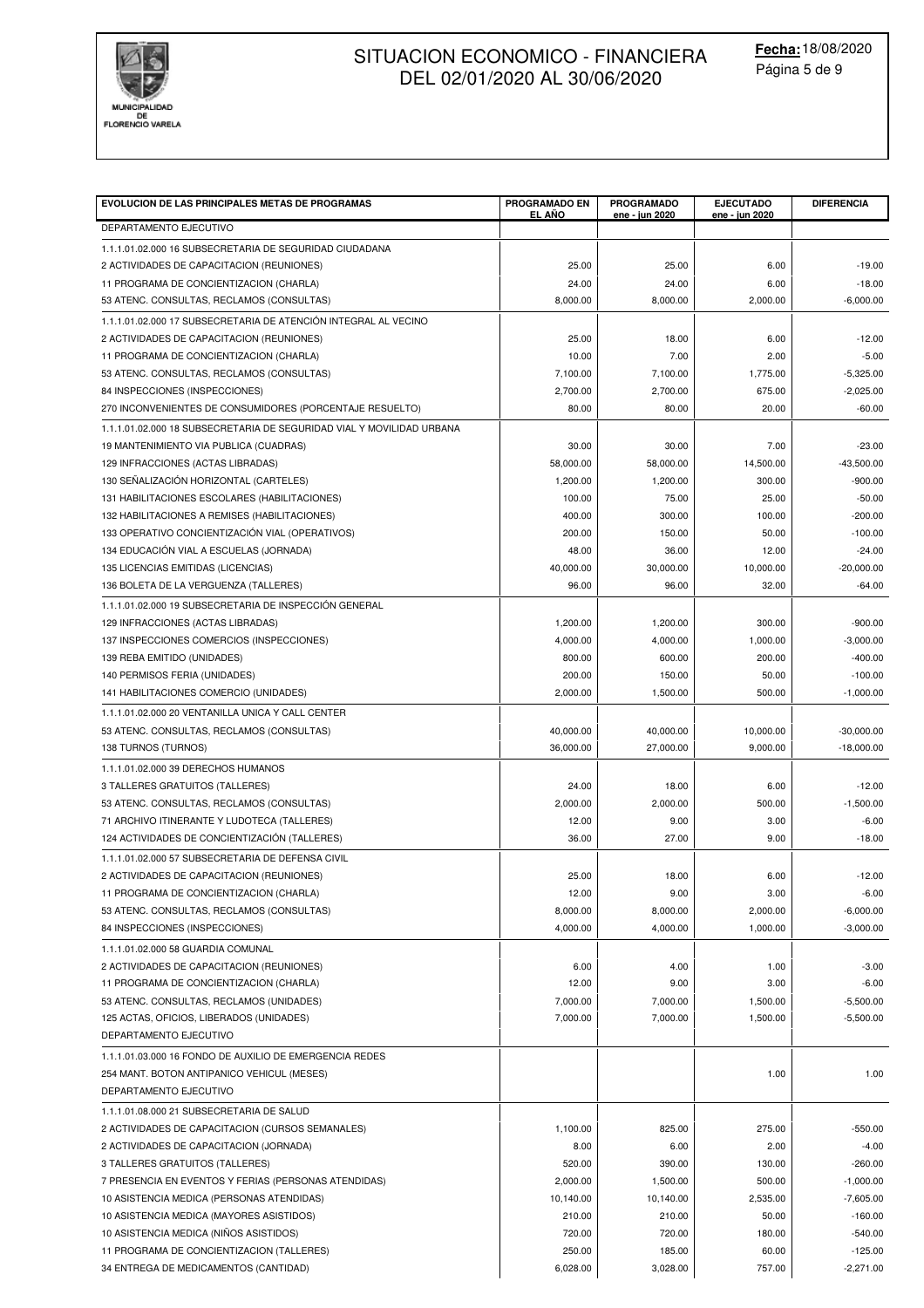

| DEPARTAMENTO EJECUTIVO<br>1.1.1.01.02.000 16 SUBSECRETARIA DE SEGURIDAD CIUDADANA<br>25.00<br>25.00<br>6.00<br>$-19.00$<br>2 ACTIVIDADES DE CAPACITACION (REUNIONES)<br>24.00<br>11 PROGRAMA DE CONCIENTIZACION (CHARLA)<br>24.00<br>6.00<br>$-18.00$<br>8,000.00<br>$-6,000.00$<br>53 ATENC. CONSULTAS, RECLAMOS (CONSULTAS)<br>8,000.00<br>2,000.00<br>1.1.1.01.02.000 17 SUBSECRETARIA DE ATENCIÓN INTEGRAL AL VECINO<br>25.00<br>18.00<br>$-12.00$<br>2 ACTIVIDADES DE CAPACITACION (REUNIONES)<br>6.00<br>$-5.00$<br>11 PROGRAMA DE CONCIENTIZACION (CHARLA)<br>10.00<br>7.00<br>2.00<br>7,100.00<br>$-5,325.00$<br>53 ATENC. CONSULTAS, RECLAMOS (CONSULTAS)<br>7,100.00<br>1,775.00<br>84 INSPECCIONES (INSPECCIONES)<br>2,700.00<br>2,700.00<br>675.00<br>$-2,025.00$<br>80.00<br>80.00<br>20.00<br>$-60.00$<br>270 INCONVENIENTES DE CONSUMIDORES (PORCENTAJE RESUELTO)<br>1.1.1.01.02.000 18 SUBSECRETARIA DE SEGURIDAD VIAL Y MOVILIDAD URBANA<br>7.00<br>19 MANTENIMIENTO VIA PUBLICA (CUADRAS)<br>30.00<br>30.00<br>$-23.00$<br>$-43,500.00$<br>129 INFRACCIONES (ACTAS LIBRADAS)<br>58,000.00<br>58,000.00<br>14,500.00<br>130 SEÑALIZACIÓN HORIZONTAL (CARTELES)<br>1,200.00<br>300.00<br>$-900.00$<br>1,200.00<br>100.00<br>131 HABILITACIONES ESCOLARES (HABILITACIONES)<br>75.00<br>25.00<br>$-50.00$<br>400.00<br>300.00<br>$-200.00$<br>132 HABILITACIONES A REMISES (HABILITACIONES)<br>100.00<br>133 OPERATIVO CONCIENTIZACIÓN VIAL (OPERATIVOS)<br>200.00<br>50.00<br>$-100.00$<br>150.00<br>134 EDUCACIÓN VIAL A ESCUELAS (JORNADA)<br>48.00<br>36.00<br>$-24.00$<br>12.00<br>40,000.00<br>10,000.00<br>135 LICENCIAS EMITIDAS (LICENCIAS)<br>30,000.00<br>$-20,000.00$<br>96.00<br>96.00<br>32.00<br>$-64.00$<br>136 BOLETA DE LA VERGUENZA (TALLERES)<br>1.1.1.01.02.000 19 SUBSECRETARIA DE INSPECCIÓN GENERAL<br>129 INFRACCIONES (ACTAS LIBRADAS)<br>1,200.00<br>1,200.00<br>300.00<br>$-900.00$<br>137 INSPECCIONES COMERCIOS (INSPECCIONES)<br>4,000.00<br>4,000.00<br>1,000.00<br>$-3,000.00$<br>800.00<br>600.00<br>200.00<br>$-400.00$<br>139 REBA EMITIDO (UNIDADES)<br>200.00<br>150.00<br>$-100.00$<br>140 PERMISOS FERIA (UNIDADES)<br>50.00<br>2,000.00<br>1,500.00<br>$-1,000.00$<br>141 HABILITACIONES COMERCIO (UNIDADES)<br>500.00<br>1.1.1.01.02.000 20 VENTANILLA UNICA Y CALL CENTER<br>53 ATENC. CONSULTAS, RECLAMOS (CONSULTAS)<br>40,000.00<br>40,000.00<br>10,000.00<br>$-30,000.00$<br>36,000.00<br>27,000.00<br>$-18,000.00$<br>138 TURNOS (TURNOS)<br>9,000.00<br>1.1.1.01.02.000 39 DERECHOS HUMANOS<br>24.00<br>$-12.00$<br>3 TALLERES GRATUITOS (TALLERES)<br>18.00<br>6.00<br>2,000.00<br>500.00<br>53 ATENC. CONSULTAS, RECLAMOS (CONSULTAS)<br>2,000.00<br>$-1,500.00$<br>12.00<br>9.00<br>$-6.00$<br>71 ARCHIVO ITINERANTE Y LUDOTECA (TALLERES)<br>3.00<br>124 ACTIVIDADES DE CONCIENTIZACIÓN (TALLERES)<br>36.00<br>27.00<br>9.00<br>$-18.00$<br>1.1.1.01.02.000 57 SUBSECRETARIA DE DEFENSA CIVIL<br>2 ACTIVIDADES DE CAPACITACION (REUNIONES)<br>25.00<br>18.00<br>6.00<br>$-12.00$<br>12.00<br>3.00<br>11 PROGRAMA DE CONCIENTIZACION (CHARLA)<br>9.00<br>$-6.00$<br>8,000.00<br>8,000.00<br>53 ATENC. CONSULTAS, RECLAMOS (CONSULTAS)<br>2,000.00<br>$-6,000.00$<br>4,000.00<br>4,000.00<br>1,000.00<br>$-3,000.00$<br>84 INSPECCIONES (INSPECCIONES)<br>1.1.1.01.02.000 58 GUARDIA COMUNAL<br>2 ACTIVIDADES DE CAPACITACION (REUNIONES)<br>6.00<br>4.00<br>1.00<br>$-3.00$<br>12.00<br>$-6.00$<br>11 PROGRAMA DE CONCIENTIZACION (CHARLA)<br>9.00<br>3.00<br>7,000.00<br>53 ATENC. CONSULTAS, RECLAMOS (UNIDADES)<br>7,000.00<br>1,500.00<br>$-5,500.00$<br>7,000.00<br>7,000.00<br>$-5,500.00$<br>125 ACTAS, OFICIOS, LIBERADOS (UNIDADES)<br>1,500.00<br>DEPARTAMENTO EJECUTIVO<br>1.1.1.01.03.000 16 FONDO DE AUXILIO DE EMERGENCIA REDES<br>254 MANT. BOTON ANTIPANICO VEHICUL (MESES)<br>1.00<br>1.00<br>DEPARTAMENTO EJECUTIVO<br>1.1.1.01.08.000 21 SUBSECRETARIA DE SALUD<br>2 ACTIVIDADES DE CAPACITACION (CURSOS SEMANALES)<br>1,100.00<br>825.00<br>275.00<br>$-550.00$<br>2 ACTIVIDADES DE CAPACITACION (JORNADA)<br>2.00<br>$-4.00$<br>8.00<br>6.00<br>520.00<br>390.00<br>3 TALLERES GRATUITOS (TALLERES)<br>130.00<br>$-260.00$<br>7 PRESENCIA EN EVENTOS Y FERIAS (PERSONAS ATENDIDAS)<br>2,000.00<br>1,500.00<br>500.00<br>$-1,000.00$<br>10 ASISTENCIA MEDICA (PERSONAS ATENDIDAS)<br>10,140.00<br>10,140.00<br>2,535.00<br>$-7,605.00$<br>10 ASISTENCIA MEDICA (MAYORES ASISTIDOS)<br>210.00<br>210.00<br>50.00<br>$-160.00$<br>10 ASISTENCIA MEDICA (NIÑOS ASISTIDOS)<br>720.00<br>720.00<br>$-540.00$<br>180.00<br>$-125.00$<br>11 PROGRAMA DE CONCIENTIZACION (TALLERES)<br>250.00<br>185.00<br>60.00<br>$-2,271.00$<br>757.00 | <b>EVOLUCION DE LAS PRINCIPALES METAS DE PROGRAMAS</b> | <b>PROGRAMADO EN</b><br>EL AÑO | <b>PROGRAMADO</b><br>ene - jun 2020 | <b>EJECUTADO</b><br>ene - jun 2020 | <b>DIFERENCIA</b> |
|-------------------------------------------------------------------------------------------------------------------------------------------------------------------------------------------------------------------------------------------------------------------------------------------------------------------------------------------------------------------------------------------------------------------------------------------------------------------------------------------------------------------------------------------------------------------------------------------------------------------------------------------------------------------------------------------------------------------------------------------------------------------------------------------------------------------------------------------------------------------------------------------------------------------------------------------------------------------------------------------------------------------------------------------------------------------------------------------------------------------------------------------------------------------------------------------------------------------------------------------------------------------------------------------------------------------------------------------------------------------------------------------------------------------------------------------------------------------------------------------------------------------------------------------------------------------------------------------------------------------------------------------------------------------------------------------------------------------------------------------------------------------------------------------------------------------------------------------------------------------------------------------------------------------------------------------------------------------------------------------------------------------------------------------------------------------------------------------------------------------------------------------------------------------------------------------------------------------------------------------------------------------------------------------------------------------------------------------------------------------------------------------------------------------------------------------------------------------------------------------------------------------------------------------------------------------------------------------------------------------------------------------------------------------------------------------------------------------------------------------------------------------------------------------------------------------------------------------------------------------------------------------------------------------------------------------------------------------------------------------------------------------------------------------------------------------------------------------------------------------------------------------------------------------------------------------------------------------------------------------------------------------------------------------------------------------------------------------------------------------------------------------------------------------------------------------------------------------------------------------------------------------------------------------------------------------------------------------------------------------------------------------------------------------------------------------------------------------------------------------------------------------------------------------------------------------------------------------------------------------------------------------------------------------------------------------------------------------------------------------------------------------------------------------------------------------------------------------------------------------------------------------------------------------------------------------------------------------------------------------------------------------------------------------------------------------------------------------------------------------------------------------------------------------------------------------------------------------------------------------------------------------------------------------------------------------------------------------------------------------------------------------------------------------------------------------------------------------------|--------------------------------------------------------|--------------------------------|-------------------------------------|------------------------------------|-------------------|
|                                                                                                                                                                                                                                                                                                                                                                                                                                                                                                                                                                                                                                                                                                                                                                                                                                                                                                                                                                                                                                                                                                                                                                                                                                                                                                                                                                                                                                                                                                                                                                                                                                                                                                                                                                                                                                                                                                                                                                                                                                                                                                                                                                                                                                                                                                                                                                                                                                                                                                                                                                                                                                                                                                                                                                                                                                                                                                                                                                                                                                                                                                                                                                                                                                                                                                                                                                                                                                                                                                                                                                                                                                                                                                                                                                                                                                                                                                                                                                                                                                                                                                                                                                                                                                                                                                                                                                                                                                                                                                                                                                                                                                                                                                                         |                                                        |                                |                                     |                                    |                   |
|                                                                                                                                                                                                                                                                                                                                                                                                                                                                                                                                                                                                                                                                                                                                                                                                                                                                                                                                                                                                                                                                                                                                                                                                                                                                                                                                                                                                                                                                                                                                                                                                                                                                                                                                                                                                                                                                                                                                                                                                                                                                                                                                                                                                                                                                                                                                                                                                                                                                                                                                                                                                                                                                                                                                                                                                                                                                                                                                                                                                                                                                                                                                                                                                                                                                                                                                                                                                                                                                                                                                                                                                                                                                                                                                                                                                                                                                                                                                                                                                                                                                                                                                                                                                                                                                                                                                                                                                                                                                                                                                                                                                                                                                                                                         |                                                        |                                |                                     |                                    |                   |
|                                                                                                                                                                                                                                                                                                                                                                                                                                                                                                                                                                                                                                                                                                                                                                                                                                                                                                                                                                                                                                                                                                                                                                                                                                                                                                                                                                                                                                                                                                                                                                                                                                                                                                                                                                                                                                                                                                                                                                                                                                                                                                                                                                                                                                                                                                                                                                                                                                                                                                                                                                                                                                                                                                                                                                                                                                                                                                                                                                                                                                                                                                                                                                                                                                                                                                                                                                                                                                                                                                                                                                                                                                                                                                                                                                                                                                                                                                                                                                                                                                                                                                                                                                                                                                                                                                                                                                                                                                                                                                                                                                                                                                                                                                                         |                                                        |                                |                                     |                                    |                   |
|                                                                                                                                                                                                                                                                                                                                                                                                                                                                                                                                                                                                                                                                                                                                                                                                                                                                                                                                                                                                                                                                                                                                                                                                                                                                                                                                                                                                                                                                                                                                                                                                                                                                                                                                                                                                                                                                                                                                                                                                                                                                                                                                                                                                                                                                                                                                                                                                                                                                                                                                                                                                                                                                                                                                                                                                                                                                                                                                                                                                                                                                                                                                                                                                                                                                                                                                                                                                                                                                                                                                                                                                                                                                                                                                                                                                                                                                                                                                                                                                                                                                                                                                                                                                                                                                                                                                                                                                                                                                                                                                                                                                                                                                                                                         |                                                        |                                |                                     |                                    |                   |
|                                                                                                                                                                                                                                                                                                                                                                                                                                                                                                                                                                                                                                                                                                                                                                                                                                                                                                                                                                                                                                                                                                                                                                                                                                                                                                                                                                                                                                                                                                                                                                                                                                                                                                                                                                                                                                                                                                                                                                                                                                                                                                                                                                                                                                                                                                                                                                                                                                                                                                                                                                                                                                                                                                                                                                                                                                                                                                                                                                                                                                                                                                                                                                                                                                                                                                                                                                                                                                                                                                                                                                                                                                                                                                                                                                                                                                                                                                                                                                                                                                                                                                                                                                                                                                                                                                                                                                                                                                                                                                                                                                                                                                                                                                                         |                                                        |                                |                                     |                                    |                   |
|                                                                                                                                                                                                                                                                                                                                                                                                                                                                                                                                                                                                                                                                                                                                                                                                                                                                                                                                                                                                                                                                                                                                                                                                                                                                                                                                                                                                                                                                                                                                                                                                                                                                                                                                                                                                                                                                                                                                                                                                                                                                                                                                                                                                                                                                                                                                                                                                                                                                                                                                                                                                                                                                                                                                                                                                                                                                                                                                                                                                                                                                                                                                                                                                                                                                                                                                                                                                                                                                                                                                                                                                                                                                                                                                                                                                                                                                                                                                                                                                                                                                                                                                                                                                                                                                                                                                                                                                                                                                                                                                                                                                                                                                                                                         |                                                        |                                |                                     |                                    |                   |
|                                                                                                                                                                                                                                                                                                                                                                                                                                                                                                                                                                                                                                                                                                                                                                                                                                                                                                                                                                                                                                                                                                                                                                                                                                                                                                                                                                                                                                                                                                                                                                                                                                                                                                                                                                                                                                                                                                                                                                                                                                                                                                                                                                                                                                                                                                                                                                                                                                                                                                                                                                                                                                                                                                                                                                                                                                                                                                                                                                                                                                                                                                                                                                                                                                                                                                                                                                                                                                                                                                                                                                                                                                                                                                                                                                                                                                                                                                                                                                                                                                                                                                                                                                                                                                                                                                                                                                                                                                                                                                                                                                                                                                                                                                                         |                                                        |                                |                                     |                                    |                   |
|                                                                                                                                                                                                                                                                                                                                                                                                                                                                                                                                                                                                                                                                                                                                                                                                                                                                                                                                                                                                                                                                                                                                                                                                                                                                                                                                                                                                                                                                                                                                                                                                                                                                                                                                                                                                                                                                                                                                                                                                                                                                                                                                                                                                                                                                                                                                                                                                                                                                                                                                                                                                                                                                                                                                                                                                                                                                                                                                                                                                                                                                                                                                                                                                                                                                                                                                                                                                                                                                                                                                                                                                                                                                                                                                                                                                                                                                                                                                                                                                                                                                                                                                                                                                                                                                                                                                                                                                                                                                                                                                                                                                                                                                                                                         |                                                        |                                |                                     |                                    |                   |
|                                                                                                                                                                                                                                                                                                                                                                                                                                                                                                                                                                                                                                                                                                                                                                                                                                                                                                                                                                                                                                                                                                                                                                                                                                                                                                                                                                                                                                                                                                                                                                                                                                                                                                                                                                                                                                                                                                                                                                                                                                                                                                                                                                                                                                                                                                                                                                                                                                                                                                                                                                                                                                                                                                                                                                                                                                                                                                                                                                                                                                                                                                                                                                                                                                                                                                                                                                                                                                                                                                                                                                                                                                                                                                                                                                                                                                                                                                                                                                                                                                                                                                                                                                                                                                                                                                                                                                                                                                                                                                                                                                                                                                                                                                                         |                                                        |                                |                                     |                                    |                   |
|                                                                                                                                                                                                                                                                                                                                                                                                                                                                                                                                                                                                                                                                                                                                                                                                                                                                                                                                                                                                                                                                                                                                                                                                                                                                                                                                                                                                                                                                                                                                                                                                                                                                                                                                                                                                                                                                                                                                                                                                                                                                                                                                                                                                                                                                                                                                                                                                                                                                                                                                                                                                                                                                                                                                                                                                                                                                                                                                                                                                                                                                                                                                                                                                                                                                                                                                                                                                                                                                                                                                                                                                                                                                                                                                                                                                                                                                                                                                                                                                                                                                                                                                                                                                                                                                                                                                                                                                                                                                                                                                                                                                                                                                                                                         |                                                        |                                |                                     |                                    |                   |
|                                                                                                                                                                                                                                                                                                                                                                                                                                                                                                                                                                                                                                                                                                                                                                                                                                                                                                                                                                                                                                                                                                                                                                                                                                                                                                                                                                                                                                                                                                                                                                                                                                                                                                                                                                                                                                                                                                                                                                                                                                                                                                                                                                                                                                                                                                                                                                                                                                                                                                                                                                                                                                                                                                                                                                                                                                                                                                                                                                                                                                                                                                                                                                                                                                                                                                                                                                                                                                                                                                                                                                                                                                                                                                                                                                                                                                                                                                                                                                                                                                                                                                                                                                                                                                                                                                                                                                                                                                                                                                                                                                                                                                                                                                                         |                                                        |                                |                                     |                                    |                   |
|                                                                                                                                                                                                                                                                                                                                                                                                                                                                                                                                                                                                                                                                                                                                                                                                                                                                                                                                                                                                                                                                                                                                                                                                                                                                                                                                                                                                                                                                                                                                                                                                                                                                                                                                                                                                                                                                                                                                                                                                                                                                                                                                                                                                                                                                                                                                                                                                                                                                                                                                                                                                                                                                                                                                                                                                                                                                                                                                                                                                                                                                                                                                                                                                                                                                                                                                                                                                                                                                                                                                                                                                                                                                                                                                                                                                                                                                                                                                                                                                                                                                                                                                                                                                                                                                                                                                                                                                                                                                                                                                                                                                                                                                                                                         |                                                        |                                |                                     |                                    |                   |
|                                                                                                                                                                                                                                                                                                                                                                                                                                                                                                                                                                                                                                                                                                                                                                                                                                                                                                                                                                                                                                                                                                                                                                                                                                                                                                                                                                                                                                                                                                                                                                                                                                                                                                                                                                                                                                                                                                                                                                                                                                                                                                                                                                                                                                                                                                                                                                                                                                                                                                                                                                                                                                                                                                                                                                                                                                                                                                                                                                                                                                                                                                                                                                                                                                                                                                                                                                                                                                                                                                                                                                                                                                                                                                                                                                                                                                                                                                                                                                                                                                                                                                                                                                                                                                                                                                                                                                                                                                                                                                                                                                                                                                                                                                                         |                                                        |                                |                                     |                                    |                   |
|                                                                                                                                                                                                                                                                                                                                                                                                                                                                                                                                                                                                                                                                                                                                                                                                                                                                                                                                                                                                                                                                                                                                                                                                                                                                                                                                                                                                                                                                                                                                                                                                                                                                                                                                                                                                                                                                                                                                                                                                                                                                                                                                                                                                                                                                                                                                                                                                                                                                                                                                                                                                                                                                                                                                                                                                                                                                                                                                                                                                                                                                                                                                                                                                                                                                                                                                                                                                                                                                                                                                                                                                                                                                                                                                                                                                                                                                                                                                                                                                                                                                                                                                                                                                                                                                                                                                                                                                                                                                                                                                                                                                                                                                                                                         |                                                        |                                |                                     |                                    |                   |
|                                                                                                                                                                                                                                                                                                                                                                                                                                                                                                                                                                                                                                                                                                                                                                                                                                                                                                                                                                                                                                                                                                                                                                                                                                                                                                                                                                                                                                                                                                                                                                                                                                                                                                                                                                                                                                                                                                                                                                                                                                                                                                                                                                                                                                                                                                                                                                                                                                                                                                                                                                                                                                                                                                                                                                                                                                                                                                                                                                                                                                                                                                                                                                                                                                                                                                                                                                                                                                                                                                                                                                                                                                                                                                                                                                                                                                                                                                                                                                                                                                                                                                                                                                                                                                                                                                                                                                                                                                                                                                                                                                                                                                                                                                                         |                                                        |                                |                                     |                                    |                   |
|                                                                                                                                                                                                                                                                                                                                                                                                                                                                                                                                                                                                                                                                                                                                                                                                                                                                                                                                                                                                                                                                                                                                                                                                                                                                                                                                                                                                                                                                                                                                                                                                                                                                                                                                                                                                                                                                                                                                                                                                                                                                                                                                                                                                                                                                                                                                                                                                                                                                                                                                                                                                                                                                                                                                                                                                                                                                                                                                                                                                                                                                                                                                                                                                                                                                                                                                                                                                                                                                                                                                                                                                                                                                                                                                                                                                                                                                                                                                                                                                                                                                                                                                                                                                                                                                                                                                                                                                                                                                                                                                                                                                                                                                                                                         |                                                        |                                |                                     |                                    |                   |
|                                                                                                                                                                                                                                                                                                                                                                                                                                                                                                                                                                                                                                                                                                                                                                                                                                                                                                                                                                                                                                                                                                                                                                                                                                                                                                                                                                                                                                                                                                                                                                                                                                                                                                                                                                                                                                                                                                                                                                                                                                                                                                                                                                                                                                                                                                                                                                                                                                                                                                                                                                                                                                                                                                                                                                                                                                                                                                                                                                                                                                                                                                                                                                                                                                                                                                                                                                                                                                                                                                                                                                                                                                                                                                                                                                                                                                                                                                                                                                                                                                                                                                                                                                                                                                                                                                                                                                                                                                                                                                                                                                                                                                                                                                                         |                                                        |                                |                                     |                                    |                   |
|                                                                                                                                                                                                                                                                                                                                                                                                                                                                                                                                                                                                                                                                                                                                                                                                                                                                                                                                                                                                                                                                                                                                                                                                                                                                                                                                                                                                                                                                                                                                                                                                                                                                                                                                                                                                                                                                                                                                                                                                                                                                                                                                                                                                                                                                                                                                                                                                                                                                                                                                                                                                                                                                                                                                                                                                                                                                                                                                                                                                                                                                                                                                                                                                                                                                                                                                                                                                                                                                                                                                                                                                                                                                                                                                                                                                                                                                                                                                                                                                                                                                                                                                                                                                                                                                                                                                                                                                                                                                                                                                                                                                                                                                                                                         |                                                        |                                |                                     |                                    |                   |
|                                                                                                                                                                                                                                                                                                                                                                                                                                                                                                                                                                                                                                                                                                                                                                                                                                                                                                                                                                                                                                                                                                                                                                                                                                                                                                                                                                                                                                                                                                                                                                                                                                                                                                                                                                                                                                                                                                                                                                                                                                                                                                                                                                                                                                                                                                                                                                                                                                                                                                                                                                                                                                                                                                                                                                                                                                                                                                                                                                                                                                                                                                                                                                                                                                                                                                                                                                                                                                                                                                                                                                                                                                                                                                                                                                                                                                                                                                                                                                                                                                                                                                                                                                                                                                                                                                                                                                                                                                                                                                                                                                                                                                                                                                                         |                                                        |                                |                                     |                                    |                   |
|                                                                                                                                                                                                                                                                                                                                                                                                                                                                                                                                                                                                                                                                                                                                                                                                                                                                                                                                                                                                                                                                                                                                                                                                                                                                                                                                                                                                                                                                                                                                                                                                                                                                                                                                                                                                                                                                                                                                                                                                                                                                                                                                                                                                                                                                                                                                                                                                                                                                                                                                                                                                                                                                                                                                                                                                                                                                                                                                                                                                                                                                                                                                                                                                                                                                                                                                                                                                                                                                                                                                                                                                                                                                                                                                                                                                                                                                                                                                                                                                                                                                                                                                                                                                                                                                                                                                                                                                                                                                                                                                                                                                                                                                                                                         |                                                        |                                |                                     |                                    |                   |
|                                                                                                                                                                                                                                                                                                                                                                                                                                                                                                                                                                                                                                                                                                                                                                                                                                                                                                                                                                                                                                                                                                                                                                                                                                                                                                                                                                                                                                                                                                                                                                                                                                                                                                                                                                                                                                                                                                                                                                                                                                                                                                                                                                                                                                                                                                                                                                                                                                                                                                                                                                                                                                                                                                                                                                                                                                                                                                                                                                                                                                                                                                                                                                                                                                                                                                                                                                                                                                                                                                                                                                                                                                                                                                                                                                                                                                                                                                                                                                                                                                                                                                                                                                                                                                                                                                                                                                                                                                                                                                                                                                                                                                                                                                                         |                                                        |                                |                                     |                                    |                   |
|                                                                                                                                                                                                                                                                                                                                                                                                                                                                                                                                                                                                                                                                                                                                                                                                                                                                                                                                                                                                                                                                                                                                                                                                                                                                                                                                                                                                                                                                                                                                                                                                                                                                                                                                                                                                                                                                                                                                                                                                                                                                                                                                                                                                                                                                                                                                                                                                                                                                                                                                                                                                                                                                                                                                                                                                                                                                                                                                                                                                                                                                                                                                                                                                                                                                                                                                                                                                                                                                                                                                                                                                                                                                                                                                                                                                                                                                                                                                                                                                                                                                                                                                                                                                                                                                                                                                                                                                                                                                                                                                                                                                                                                                                                                         |                                                        |                                |                                     |                                    |                   |
|                                                                                                                                                                                                                                                                                                                                                                                                                                                                                                                                                                                                                                                                                                                                                                                                                                                                                                                                                                                                                                                                                                                                                                                                                                                                                                                                                                                                                                                                                                                                                                                                                                                                                                                                                                                                                                                                                                                                                                                                                                                                                                                                                                                                                                                                                                                                                                                                                                                                                                                                                                                                                                                                                                                                                                                                                                                                                                                                                                                                                                                                                                                                                                                                                                                                                                                                                                                                                                                                                                                                                                                                                                                                                                                                                                                                                                                                                                                                                                                                                                                                                                                                                                                                                                                                                                                                                                                                                                                                                                                                                                                                                                                                                                                         |                                                        |                                |                                     |                                    |                   |
|                                                                                                                                                                                                                                                                                                                                                                                                                                                                                                                                                                                                                                                                                                                                                                                                                                                                                                                                                                                                                                                                                                                                                                                                                                                                                                                                                                                                                                                                                                                                                                                                                                                                                                                                                                                                                                                                                                                                                                                                                                                                                                                                                                                                                                                                                                                                                                                                                                                                                                                                                                                                                                                                                                                                                                                                                                                                                                                                                                                                                                                                                                                                                                                                                                                                                                                                                                                                                                                                                                                                                                                                                                                                                                                                                                                                                                                                                                                                                                                                                                                                                                                                                                                                                                                                                                                                                                                                                                                                                                                                                                                                                                                                                                                         |                                                        |                                |                                     |                                    |                   |
|                                                                                                                                                                                                                                                                                                                                                                                                                                                                                                                                                                                                                                                                                                                                                                                                                                                                                                                                                                                                                                                                                                                                                                                                                                                                                                                                                                                                                                                                                                                                                                                                                                                                                                                                                                                                                                                                                                                                                                                                                                                                                                                                                                                                                                                                                                                                                                                                                                                                                                                                                                                                                                                                                                                                                                                                                                                                                                                                                                                                                                                                                                                                                                                                                                                                                                                                                                                                                                                                                                                                                                                                                                                                                                                                                                                                                                                                                                                                                                                                                                                                                                                                                                                                                                                                                                                                                                                                                                                                                                                                                                                                                                                                                                                         |                                                        |                                |                                     |                                    |                   |
|                                                                                                                                                                                                                                                                                                                                                                                                                                                                                                                                                                                                                                                                                                                                                                                                                                                                                                                                                                                                                                                                                                                                                                                                                                                                                                                                                                                                                                                                                                                                                                                                                                                                                                                                                                                                                                                                                                                                                                                                                                                                                                                                                                                                                                                                                                                                                                                                                                                                                                                                                                                                                                                                                                                                                                                                                                                                                                                                                                                                                                                                                                                                                                                                                                                                                                                                                                                                                                                                                                                                                                                                                                                                                                                                                                                                                                                                                                                                                                                                                                                                                                                                                                                                                                                                                                                                                                                                                                                                                                                                                                                                                                                                                                                         |                                                        |                                |                                     |                                    |                   |
|                                                                                                                                                                                                                                                                                                                                                                                                                                                                                                                                                                                                                                                                                                                                                                                                                                                                                                                                                                                                                                                                                                                                                                                                                                                                                                                                                                                                                                                                                                                                                                                                                                                                                                                                                                                                                                                                                                                                                                                                                                                                                                                                                                                                                                                                                                                                                                                                                                                                                                                                                                                                                                                                                                                                                                                                                                                                                                                                                                                                                                                                                                                                                                                                                                                                                                                                                                                                                                                                                                                                                                                                                                                                                                                                                                                                                                                                                                                                                                                                                                                                                                                                                                                                                                                                                                                                                                                                                                                                                                                                                                                                                                                                                                                         |                                                        |                                |                                     |                                    |                   |
|                                                                                                                                                                                                                                                                                                                                                                                                                                                                                                                                                                                                                                                                                                                                                                                                                                                                                                                                                                                                                                                                                                                                                                                                                                                                                                                                                                                                                                                                                                                                                                                                                                                                                                                                                                                                                                                                                                                                                                                                                                                                                                                                                                                                                                                                                                                                                                                                                                                                                                                                                                                                                                                                                                                                                                                                                                                                                                                                                                                                                                                                                                                                                                                                                                                                                                                                                                                                                                                                                                                                                                                                                                                                                                                                                                                                                                                                                                                                                                                                                                                                                                                                                                                                                                                                                                                                                                                                                                                                                                                                                                                                                                                                                                                         |                                                        |                                |                                     |                                    |                   |
|                                                                                                                                                                                                                                                                                                                                                                                                                                                                                                                                                                                                                                                                                                                                                                                                                                                                                                                                                                                                                                                                                                                                                                                                                                                                                                                                                                                                                                                                                                                                                                                                                                                                                                                                                                                                                                                                                                                                                                                                                                                                                                                                                                                                                                                                                                                                                                                                                                                                                                                                                                                                                                                                                                                                                                                                                                                                                                                                                                                                                                                                                                                                                                                                                                                                                                                                                                                                                                                                                                                                                                                                                                                                                                                                                                                                                                                                                                                                                                                                                                                                                                                                                                                                                                                                                                                                                                                                                                                                                                                                                                                                                                                                                                                         |                                                        |                                |                                     |                                    |                   |
|                                                                                                                                                                                                                                                                                                                                                                                                                                                                                                                                                                                                                                                                                                                                                                                                                                                                                                                                                                                                                                                                                                                                                                                                                                                                                                                                                                                                                                                                                                                                                                                                                                                                                                                                                                                                                                                                                                                                                                                                                                                                                                                                                                                                                                                                                                                                                                                                                                                                                                                                                                                                                                                                                                                                                                                                                                                                                                                                                                                                                                                                                                                                                                                                                                                                                                                                                                                                                                                                                                                                                                                                                                                                                                                                                                                                                                                                                                                                                                                                                                                                                                                                                                                                                                                                                                                                                                                                                                                                                                                                                                                                                                                                                                                         |                                                        |                                |                                     |                                    |                   |
|                                                                                                                                                                                                                                                                                                                                                                                                                                                                                                                                                                                                                                                                                                                                                                                                                                                                                                                                                                                                                                                                                                                                                                                                                                                                                                                                                                                                                                                                                                                                                                                                                                                                                                                                                                                                                                                                                                                                                                                                                                                                                                                                                                                                                                                                                                                                                                                                                                                                                                                                                                                                                                                                                                                                                                                                                                                                                                                                                                                                                                                                                                                                                                                                                                                                                                                                                                                                                                                                                                                                                                                                                                                                                                                                                                                                                                                                                                                                                                                                                                                                                                                                                                                                                                                                                                                                                                                                                                                                                                                                                                                                                                                                                                                         |                                                        |                                |                                     |                                    |                   |
|                                                                                                                                                                                                                                                                                                                                                                                                                                                                                                                                                                                                                                                                                                                                                                                                                                                                                                                                                                                                                                                                                                                                                                                                                                                                                                                                                                                                                                                                                                                                                                                                                                                                                                                                                                                                                                                                                                                                                                                                                                                                                                                                                                                                                                                                                                                                                                                                                                                                                                                                                                                                                                                                                                                                                                                                                                                                                                                                                                                                                                                                                                                                                                                                                                                                                                                                                                                                                                                                                                                                                                                                                                                                                                                                                                                                                                                                                                                                                                                                                                                                                                                                                                                                                                                                                                                                                                                                                                                                                                                                                                                                                                                                                                                         |                                                        |                                |                                     |                                    |                   |
|                                                                                                                                                                                                                                                                                                                                                                                                                                                                                                                                                                                                                                                                                                                                                                                                                                                                                                                                                                                                                                                                                                                                                                                                                                                                                                                                                                                                                                                                                                                                                                                                                                                                                                                                                                                                                                                                                                                                                                                                                                                                                                                                                                                                                                                                                                                                                                                                                                                                                                                                                                                                                                                                                                                                                                                                                                                                                                                                                                                                                                                                                                                                                                                                                                                                                                                                                                                                                                                                                                                                                                                                                                                                                                                                                                                                                                                                                                                                                                                                                                                                                                                                                                                                                                                                                                                                                                                                                                                                                                                                                                                                                                                                                                                         |                                                        |                                |                                     |                                    |                   |
|                                                                                                                                                                                                                                                                                                                                                                                                                                                                                                                                                                                                                                                                                                                                                                                                                                                                                                                                                                                                                                                                                                                                                                                                                                                                                                                                                                                                                                                                                                                                                                                                                                                                                                                                                                                                                                                                                                                                                                                                                                                                                                                                                                                                                                                                                                                                                                                                                                                                                                                                                                                                                                                                                                                                                                                                                                                                                                                                                                                                                                                                                                                                                                                                                                                                                                                                                                                                                                                                                                                                                                                                                                                                                                                                                                                                                                                                                                                                                                                                                                                                                                                                                                                                                                                                                                                                                                                                                                                                                                                                                                                                                                                                                                                         |                                                        |                                |                                     |                                    |                   |
|                                                                                                                                                                                                                                                                                                                                                                                                                                                                                                                                                                                                                                                                                                                                                                                                                                                                                                                                                                                                                                                                                                                                                                                                                                                                                                                                                                                                                                                                                                                                                                                                                                                                                                                                                                                                                                                                                                                                                                                                                                                                                                                                                                                                                                                                                                                                                                                                                                                                                                                                                                                                                                                                                                                                                                                                                                                                                                                                                                                                                                                                                                                                                                                                                                                                                                                                                                                                                                                                                                                                                                                                                                                                                                                                                                                                                                                                                                                                                                                                                                                                                                                                                                                                                                                                                                                                                                                                                                                                                                                                                                                                                                                                                                                         |                                                        |                                |                                     |                                    |                   |
|                                                                                                                                                                                                                                                                                                                                                                                                                                                                                                                                                                                                                                                                                                                                                                                                                                                                                                                                                                                                                                                                                                                                                                                                                                                                                                                                                                                                                                                                                                                                                                                                                                                                                                                                                                                                                                                                                                                                                                                                                                                                                                                                                                                                                                                                                                                                                                                                                                                                                                                                                                                                                                                                                                                                                                                                                                                                                                                                                                                                                                                                                                                                                                                                                                                                                                                                                                                                                                                                                                                                                                                                                                                                                                                                                                                                                                                                                                                                                                                                                                                                                                                                                                                                                                                                                                                                                                                                                                                                                                                                                                                                                                                                                                                         |                                                        |                                |                                     |                                    |                   |
|                                                                                                                                                                                                                                                                                                                                                                                                                                                                                                                                                                                                                                                                                                                                                                                                                                                                                                                                                                                                                                                                                                                                                                                                                                                                                                                                                                                                                                                                                                                                                                                                                                                                                                                                                                                                                                                                                                                                                                                                                                                                                                                                                                                                                                                                                                                                                                                                                                                                                                                                                                                                                                                                                                                                                                                                                                                                                                                                                                                                                                                                                                                                                                                                                                                                                                                                                                                                                                                                                                                                                                                                                                                                                                                                                                                                                                                                                                                                                                                                                                                                                                                                                                                                                                                                                                                                                                                                                                                                                                                                                                                                                                                                                                                         |                                                        |                                |                                     |                                    |                   |
|                                                                                                                                                                                                                                                                                                                                                                                                                                                                                                                                                                                                                                                                                                                                                                                                                                                                                                                                                                                                                                                                                                                                                                                                                                                                                                                                                                                                                                                                                                                                                                                                                                                                                                                                                                                                                                                                                                                                                                                                                                                                                                                                                                                                                                                                                                                                                                                                                                                                                                                                                                                                                                                                                                                                                                                                                                                                                                                                                                                                                                                                                                                                                                                                                                                                                                                                                                                                                                                                                                                                                                                                                                                                                                                                                                                                                                                                                                                                                                                                                                                                                                                                                                                                                                                                                                                                                                                                                                                                                                                                                                                                                                                                                                                         |                                                        |                                |                                     |                                    |                   |
|                                                                                                                                                                                                                                                                                                                                                                                                                                                                                                                                                                                                                                                                                                                                                                                                                                                                                                                                                                                                                                                                                                                                                                                                                                                                                                                                                                                                                                                                                                                                                                                                                                                                                                                                                                                                                                                                                                                                                                                                                                                                                                                                                                                                                                                                                                                                                                                                                                                                                                                                                                                                                                                                                                                                                                                                                                                                                                                                                                                                                                                                                                                                                                                                                                                                                                                                                                                                                                                                                                                                                                                                                                                                                                                                                                                                                                                                                                                                                                                                                                                                                                                                                                                                                                                                                                                                                                                                                                                                                                                                                                                                                                                                                                                         |                                                        |                                |                                     |                                    |                   |
|                                                                                                                                                                                                                                                                                                                                                                                                                                                                                                                                                                                                                                                                                                                                                                                                                                                                                                                                                                                                                                                                                                                                                                                                                                                                                                                                                                                                                                                                                                                                                                                                                                                                                                                                                                                                                                                                                                                                                                                                                                                                                                                                                                                                                                                                                                                                                                                                                                                                                                                                                                                                                                                                                                                                                                                                                                                                                                                                                                                                                                                                                                                                                                                                                                                                                                                                                                                                                                                                                                                                                                                                                                                                                                                                                                                                                                                                                                                                                                                                                                                                                                                                                                                                                                                                                                                                                                                                                                                                                                                                                                                                                                                                                                                         |                                                        |                                |                                     |                                    |                   |
|                                                                                                                                                                                                                                                                                                                                                                                                                                                                                                                                                                                                                                                                                                                                                                                                                                                                                                                                                                                                                                                                                                                                                                                                                                                                                                                                                                                                                                                                                                                                                                                                                                                                                                                                                                                                                                                                                                                                                                                                                                                                                                                                                                                                                                                                                                                                                                                                                                                                                                                                                                                                                                                                                                                                                                                                                                                                                                                                                                                                                                                                                                                                                                                                                                                                                                                                                                                                                                                                                                                                                                                                                                                                                                                                                                                                                                                                                                                                                                                                                                                                                                                                                                                                                                                                                                                                                                                                                                                                                                                                                                                                                                                                                                                         |                                                        |                                |                                     |                                    |                   |
|                                                                                                                                                                                                                                                                                                                                                                                                                                                                                                                                                                                                                                                                                                                                                                                                                                                                                                                                                                                                                                                                                                                                                                                                                                                                                                                                                                                                                                                                                                                                                                                                                                                                                                                                                                                                                                                                                                                                                                                                                                                                                                                                                                                                                                                                                                                                                                                                                                                                                                                                                                                                                                                                                                                                                                                                                                                                                                                                                                                                                                                                                                                                                                                                                                                                                                                                                                                                                                                                                                                                                                                                                                                                                                                                                                                                                                                                                                                                                                                                                                                                                                                                                                                                                                                                                                                                                                                                                                                                                                                                                                                                                                                                                                                         |                                                        |                                |                                     |                                    |                   |
|                                                                                                                                                                                                                                                                                                                                                                                                                                                                                                                                                                                                                                                                                                                                                                                                                                                                                                                                                                                                                                                                                                                                                                                                                                                                                                                                                                                                                                                                                                                                                                                                                                                                                                                                                                                                                                                                                                                                                                                                                                                                                                                                                                                                                                                                                                                                                                                                                                                                                                                                                                                                                                                                                                                                                                                                                                                                                                                                                                                                                                                                                                                                                                                                                                                                                                                                                                                                                                                                                                                                                                                                                                                                                                                                                                                                                                                                                                                                                                                                                                                                                                                                                                                                                                                                                                                                                                                                                                                                                                                                                                                                                                                                                                                         |                                                        |                                |                                     |                                    |                   |
|                                                                                                                                                                                                                                                                                                                                                                                                                                                                                                                                                                                                                                                                                                                                                                                                                                                                                                                                                                                                                                                                                                                                                                                                                                                                                                                                                                                                                                                                                                                                                                                                                                                                                                                                                                                                                                                                                                                                                                                                                                                                                                                                                                                                                                                                                                                                                                                                                                                                                                                                                                                                                                                                                                                                                                                                                                                                                                                                                                                                                                                                                                                                                                                                                                                                                                                                                                                                                                                                                                                                                                                                                                                                                                                                                                                                                                                                                                                                                                                                                                                                                                                                                                                                                                                                                                                                                                                                                                                                                                                                                                                                                                                                                                                         |                                                        |                                |                                     |                                    |                   |
|                                                                                                                                                                                                                                                                                                                                                                                                                                                                                                                                                                                                                                                                                                                                                                                                                                                                                                                                                                                                                                                                                                                                                                                                                                                                                                                                                                                                                                                                                                                                                                                                                                                                                                                                                                                                                                                                                                                                                                                                                                                                                                                                                                                                                                                                                                                                                                                                                                                                                                                                                                                                                                                                                                                                                                                                                                                                                                                                                                                                                                                                                                                                                                                                                                                                                                                                                                                                                                                                                                                                                                                                                                                                                                                                                                                                                                                                                                                                                                                                                                                                                                                                                                                                                                                                                                                                                                                                                                                                                                                                                                                                                                                                                                                         |                                                        |                                |                                     |                                    |                   |
|                                                                                                                                                                                                                                                                                                                                                                                                                                                                                                                                                                                                                                                                                                                                                                                                                                                                                                                                                                                                                                                                                                                                                                                                                                                                                                                                                                                                                                                                                                                                                                                                                                                                                                                                                                                                                                                                                                                                                                                                                                                                                                                                                                                                                                                                                                                                                                                                                                                                                                                                                                                                                                                                                                                                                                                                                                                                                                                                                                                                                                                                                                                                                                                                                                                                                                                                                                                                                                                                                                                                                                                                                                                                                                                                                                                                                                                                                                                                                                                                                                                                                                                                                                                                                                                                                                                                                                                                                                                                                                                                                                                                                                                                                                                         |                                                        |                                |                                     |                                    |                   |
|                                                                                                                                                                                                                                                                                                                                                                                                                                                                                                                                                                                                                                                                                                                                                                                                                                                                                                                                                                                                                                                                                                                                                                                                                                                                                                                                                                                                                                                                                                                                                                                                                                                                                                                                                                                                                                                                                                                                                                                                                                                                                                                                                                                                                                                                                                                                                                                                                                                                                                                                                                                                                                                                                                                                                                                                                                                                                                                                                                                                                                                                                                                                                                                                                                                                                                                                                                                                                                                                                                                                                                                                                                                                                                                                                                                                                                                                                                                                                                                                                                                                                                                                                                                                                                                                                                                                                                                                                                                                                                                                                                                                                                                                                                                         |                                                        |                                |                                     |                                    |                   |
|                                                                                                                                                                                                                                                                                                                                                                                                                                                                                                                                                                                                                                                                                                                                                                                                                                                                                                                                                                                                                                                                                                                                                                                                                                                                                                                                                                                                                                                                                                                                                                                                                                                                                                                                                                                                                                                                                                                                                                                                                                                                                                                                                                                                                                                                                                                                                                                                                                                                                                                                                                                                                                                                                                                                                                                                                                                                                                                                                                                                                                                                                                                                                                                                                                                                                                                                                                                                                                                                                                                                                                                                                                                                                                                                                                                                                                                                                                                                                                                                                                                                                                                                                                                                                                                                                                                                                                                                                                                                                                                                                                                                                                                                                                                         |                                                        |                                |                                     |                                    |                   |
|                                                                                                                                                                                                                                                                                                                                                                                                                                                                                                                                                                                                                                                                                                                                                                                                                                                                                                                                                                                                                                                                                                                                                                                                                                                                                                                                                                                                                                                                                                                                                                                                                                                                                                                                                                                                                                                                                                                                                                                                                                                                                                                                                                                                                                                                                                                                                                                                                                                                                                                                                                                                                                                                                                                                                                                                                                                                                                                                                                                                                                                                                                                                                                                                                                                                                                                                                                                                                                                                                                                                                                                                                                                                                                                                                                                                                                                                                                                                                                                                                                                                                                                                                                                                                                                                                                                                                                                                                                                                                                                                                                                                                                                                                                                         |                                                        |                                |                                     |                                    |                   |
|                                                                                                                                                                                                                                                                                                                                                                                                                                                                                                                                                                                                                                                                                                                                                                                                                                                                                                                                                                                                                                                                                                                                                                                                                                                                                                                                                                                                                                                                                                                                                                                                                                                                                                                                                                                                                                                                                                                                                                                                                                                                                                                                                                                                                                                                                                                                                                                                                                                                                                                                                                                                                                                                                                                                                                                                                                                                                                                                                                                                                                                                                                                                                                                                                                                                                                                                                                                                                                                                                                                                                                                                                                                                                                                                                                                                                                                                                                                                                                                                                                                                                                                                                                                                                                                                                                                                                                                                                                                                                                                                                                                                                                                                                                                         |                                                        |                                |                                     |                                    |                   |
|                                                                                                                                                                                                                                                                                                                                                                                                                                                                                                                                                                                                                                                                                                                                                                                                                                                                                                                                                                                                                                                                                                                                                                                                                                                                                                                                                                                                                                                                                                                                                                                                                                                                                                                                                                                                                                                                                                                                                                                                                                                                                                                                                                                                                                                                                                                                                                                                                                                                                                                                                                                                                                                                                                                                                                                                                                                                                                                                                                                                                                                                                                                                                                                                                                                                                                                                                                                                                                                                                                                                                                                                                                                                                                                                                                                                                                                                                                                                                                                                                                                                                                                                                                                                                                                                                                                                                                                                                                                                                                                                                                                                                                                                                                                         |                                                        |                                |                                     |                                    |                   |
|                                                                                                                                                                                                                                                                                                                                                                                                                                                                                                                                                                                                                                                                                                                                                                                                                                                                                                                                                                                                                                                                                                                                                                                                                                                                                                                                                                                                                                                                                                                                                                                                                                                                                                                                                                                                                                                                                                                                                                                                                                                                                                                                                                                                                                                                                                                                                                                                                                                                                                                                                                                                                                                                                                                                                                                                                                                                                                                                                                                                                                                                                                                                                                                                                                                                                                                                                                                                                                                                                                                                                                                                                                                                                                                                                                                                                                                                                                                                                                                                                                                                                                                                                                                                                                                                                                                                                                                                                                                                                                                                                                                                                                                                                                                         |                                                        |                                |                                     |                                    |                   |
|                                                                                                                                                                                                                                                                                                                                                                                                                                                                                                                                                                                                                                                                                                                                                                                                                                                                                                                                                                                                                                                                                                                                                                                                                                                                                                                                                                                                                                                                                                                                                                                                                                                                                                                                                                                                                                                                                                                                                                                                                                                                                                                                                                                                                                                                                                                                                                                                                                                                                                                                                                                                                                                                                                                                                                                                                                                                                                                                                                                                                                                                                                                                                                                                                                                                                                                                                                                                                                                                                                                                                                                                                                                                                                                                                                                                                                                                                                                                                                                                                                                                                                                                                                                                                                                                                                                                                                                                                                                                                                                                                                                                                                                                                                                         |                                                        |                                |                                     |                                    |                   |
|                                                                                                                                                                                                                                                                                                                                                                                                                                                                                                                                                                                                                                                                                                                                                                                                                                                                                                                                                                                                                                                                                                                                                                                                                                                                                                                                                                                                                                                                                                                                                                                                                                                                                                                                                                                                                                                                                                                                                                                                                                                                                                                                                                                                                                                                                                                                                                                                                                                                                                                                                                                                                                                                                                                                                                                                                                                                                                                                                                                                                                                                                                                                                                                                                                                                                                                                                                                                                                                                                                                                                                                                                                                                                                                                                                                                                                                                                                                                                                                                                                                                                                                                                                                                                                                                                                                                                                                                                                                                                                                                                                                                                                                                                                                         |                                                        |                                |                                     |                                    |                   |
|                                                                                                                                                                                                                                                                                                                                                                                                                                                                                                                                                                                                                                                                                                                                                                                                                                                                                                                                                                                                                                                                                                                                                                                                                                                                                                                                                                                                                                                                                                                                                                                                                                                                                                                                                                                                                                                                                                                                                                                                                                                                                                                                                                                                                                                                                                                                                                                                                                                                                                                                                                                                                                                                                                                                                                                                                                                                                                                                                                                                                                                                                                                                                                                                                                                                                                                                                                                                                                                                                                                                                                                                                                                                                                                                                                                                                                                                                                                                                                                                                                                                                                                                                                                                                                                                                                                                                                                                                                                                                                                                                                                                                                                                                                                         |                                                        |                                |                                     |                                    |                   |
|                                                                                                                                                                                                                                                                                                                                                                                                                                                                                                                                                                                                                                                                                                                                                                                                                                                                                                                                                                                                                                                                                                                                                                                                                                                                                                                                                                                                                                                                                                                                                                                                                                                                                                                                                                                                                                                                                                                                                                                                                                                                                                                                                                                                                                                                                                                                                                                                                                                                                                                                                                                                                                                                                                                                                                                                                                                                                                                                                                                                                                                                                                                                                                                                                                                                                                                                                                                                                                                                                                                                                                                                                                                                                                                                                                                                                                                                                                                                                                                                                                                                                                                                                                                                                                                                                                                                                                                                                                                                                                                                                                                                                                                                                                                         |                                                        |                                |                                     |                                    |                   |
|                                                                                                                                                                                                                                                                                                                                                                                                                                                                                                                                                                                                                                                                                                                                                                                                                                                                                                                                                                                                                                                                                                                                                                                                                                                                                                                                                                                                                                                                                                                                                                                                                                                                                                                                                                                                                                                                                                                                                                                                                                                                                                                                                                                                                                                                                                                                                                                                                                                                                                                                                                                                                                                                                                                                                                                                                                                                                                                                                                                                                                                                                                                                                                                                                                                                                                                                                                                                                                                                                                                                                                                                                                                                                                                                                                                                                                                                                                                                                                                                                                                                                                                                                                                                                                                                                                                                                                                                                                                                                                                                                                                                                                                                                                                         |                                                        |                                |                                     |                                    |                   |
|                                                                                                                                                                                                                                                                                                                                                                                                                                                                                                                                                                                                                                                                                                                                                                                                                                                                                                                                                                                                                                                                                                                                                                                                                                                                                                                                                                                                                                                                                                                                                                                                                                                                                                                                                                                                                                                                                                                                                                                                                                                                                                                                                                                                                                                                                                                                                                                                                                                                                                                                                                                                                                                                                                                                                                                                                                                                                                                                                                                                                                                                                                                                                                                                                                                                                                                                                                                                                                                                                                                                                                                                                                                                                                                                                                                                                                                                                                                                                                                                                                                                                                                                                                                                                                                                                                                                                                                                                                                                                                                                                                                                                                                                                                                         |                                                        |                                |                                     |                                    |                   |
|                                                                                                                                                                                                                                                                                                                                                                                                                                                                                                                                                                                                                                                                                                                                                                                                                                                                                                                                                                                                                                                                                                                                                                                                                                                                                                                                                                                                                                                                                                                                                                                                                                                                                                                                                                                                                                                                                                                                                                                                                                                                                                                                                                                                                                                                                                                                                                                                                                                                                                                                                                                                                                                                                                                                                                                                                                                                                                                                                                                                                                                                                                                                                                                                                                                                                                                                                                                                                                                                                                                                                                                                                                                                                                                                                                                                                                                                                                                                                                                                                                                                                                                                                                                                                                                                                                                                                                                                                                                                                                                                                                                                                                                                                                                         | 34 ENTREGA DE MEDICAMENTOS (CANTIDAD)                  | 6,028.00                       | 3,028.00                            |                                    |                   |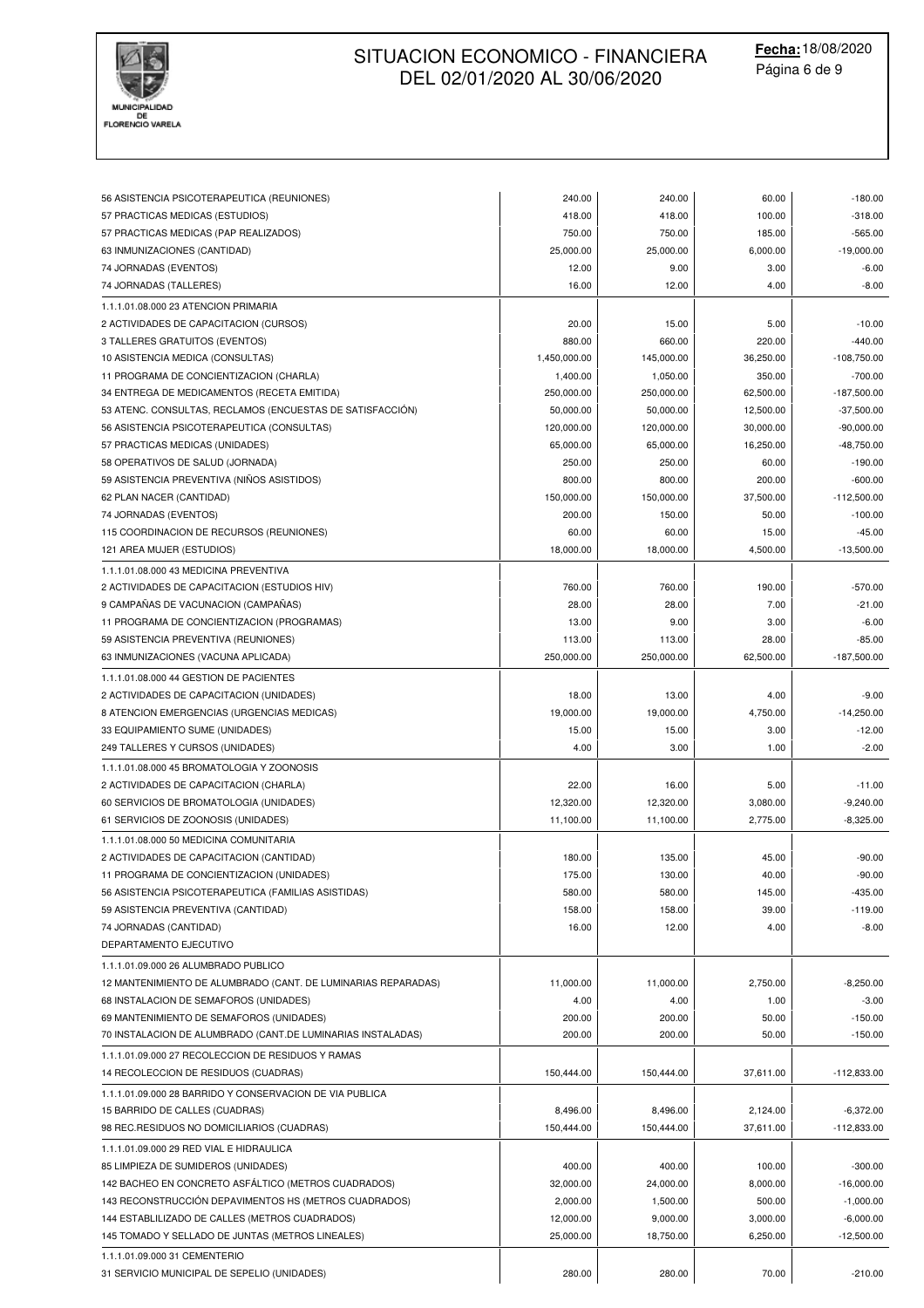

| 56 ASISTENCIA PSICOTERAPEUTICA (REUNIONES)                                                 | 240.00       | 240.00     | 60.00     | $-180.00$                 |
|--------------------------------------------------------------------------------------------|--------------|------------|-----------|---------------------------|
| 57 PRACTICAS MEDICAS (ESTUDIOS)                                                            | 418.00       | 418.00     | 100.00    | $-318.00$                 |
| 57 PRACTICAS MEDICAS (PAP REALIZADOS)                                                      | 750.00       | 750.00     | 185.00    | $-565.00$                 |
| 63 INMUNIZACIONES (CANTIDAD)                                                               | 25,000.00    | 25,000.00  | 6,000.00  | $-19,000.00$              |
| 74 JORNADAS (EVENTOS)                                                                      | 12.00        | 9.00       | 3.00      | $-6.00$                   |
| 74 JORNADAS (TALLERES)                                                                     | 16.00        | 12.00      | 4.00      | $-8.00$                   |
| 1.1.1.01.08.000 23 ATENCION PRIMARIA                                                       |              |            |           |                           |
| 2 ACTIVIDADES DE CAPACITACION (CURSOS)                                                     | 20.00        | 15.00      | 5.00      | $-10.00$                  |
| 3 TALLERES GRATUITOS (EVENTOS)                                                             | 880.00       | 660.00     | 220.00    | $-440.00$                 |
| 10 ASISTENCIA MEDICA (CONSULTAS)                                                           | 1,450,000.00 | 145,000.00 | 36,250.00 | $-108,750.00$             |
| 11 PROGRAMA DE CONCIENTIZACION (CHARLA)                                                    | 1,400.00     | 1,050.00   | 350.00    | $-700.00$                 |
| 34 ENTREGA DE MEDICAMENTOS (RECETA EMITIDA)                                                | 250,000.00   | 250,000.00 | 62,500.00 | $-187,500.00$             |
| 53 ATENC. CONSULTAS, RECLAMOS (ENCUESTAS DE SATISFACCIÓN)                                  | 50,000.00    | 50,000.00  | 12,500.00 | $-37,500.00$              |
| 56 ASISTENCIA PSICOTERAPEUTICA (CONSULTAS)                                                 | 120,000.00   | 120,000.00 | 30,000.00 | $-90,000.00$              |
| 57 PRACTICAS MEDICAS (UNIDADES)                                                            | 65,000.00    | 65,000.00  | 16,250.00 | $-48,750.00$              |
| 58 OPERATIVOS DE SALUD (JORNADA)                                                           | 250.00       | 250.00     | 60.00     | $-190.00$                 |
| 59 ASISTENCIA PREVENTIVA (NIÑOS ASISTIDOS)                                                 | 800.00       | 800.00     | 200.00    | $-600.00$                 |
| 62 PLAN NACER (CANTIDAD)                                                                   | 150,000.00   | 150,000.00 | 37,500.00 | $-112,500.00$             |
| 74 JORNADAS (EVENTOS)                                                                      | 200.00       | 150.00     | 50.00     | $-100.00$                 |
| 115 COORDINACION DE RECURSOS (REUNIONES)                                                   | 60.00        | 60.00      | 15.00     | $-45.00$                  |
| 121 AREA MUJER (ESTUDIOS)                                                                  | 18,000.00    | 18,000.00  | 4,500.00  | $-13,500.00$              |
| 1.1.1.01.08.000 43 MEDICINA PREVENTIVA                                                     |              |            |           |                           |
| 2 ACTIVIDADES DE CAPACITACION (ESTUDIOS HIV)                                               | 760.00       | 760.00     | 190.00    | $-570.00$                 |
| 9 CAMPANAS DE VACUNACION (CAMPANAS)                                                        | 28.00        | 28.00      | 7.00      | $-21.00$                  |
| 11 PROGRAMA DE CONCIENTIZACION (PROGRAMAS)                                                 | 13.00        | 9.00       | 3.00      | $-6.00$                   |
| 59 ASISTENCIA PREVENTIVA (REUNIONES)                                                       | 113.00       | 113.00     | 28.00     | $-85.00$                  |
| 63 INMUNIZACIONES (VACUNA APLICADA)                                                        | 250,000.00   | 250,000.00 | 62,500.00 | $-187,500.00$             |
| 1.1.1.01.08.000 44 GESTION DE PACIENTES                                                    |              |            |           |                           |
| 2 ACTIVIDADES DE CAPACITACION (UNIDADES)                                                   | 18.00        | 13.00      | 4.00      | $-9.00$                   |
| 8 ATENCION EMERGENCIAS (URGENCIAS MEDICAS)                                                 | 19,000.00    | 19,000.00  | 4,750.00  | $-14,250.00$              |
| 33 EQUIPAMIENTO SUME (UNIDADES)                                                            | 15.00        | 15.00      | 3.00      | $-12.00$                  |
| 249 TALLERES Y CURSOS (UNIDADES)                                                           | 4.00         | 3.00       | 1.00      | $-2.00$                   |
|                                                                                            |              |            |           |                           |
| 1.1.1.01.08.000 45 BROMATOLOGIA Y ZOONOSIS                                                 |              |            |           |                           |
| 2 ACTIVIDADES DE CAPACITACION (CHARLA)                                                     | 22.00        | 16.00      | 5.00      | $-11.00$                  |
| 60 SERVICIOS DE BROMATOLOGIA (UNIDADES)                                                    | 12,320.00    | 12,320.00  | 3,080.00  | $-9,240.00$               |
| 61 SERVICIOS DE ZOONOSIS (UNIDADES)                                                        | 11,100.00    | 11,100.00  | 2,775.00  | $-8,325.00$               |
| 1.1.1.01.08.000 50 MEDICINA COMUNITARIA                                                    |              |            |           |                           |
| 2 ACTIVIDADES DE CAPACITACION (CANTIDAD)                                                   | 180.00       | 135.00     | 45.00     | $-90.00$                  |
| 11 PROGRAMA DE CONCIENTIZACION (UNIDADES)                                                  | 175.00       | 130.00     | 40.00     | -90.00                    |
| 56 ASISTENCIA PSICOTERAPEUTICA (FAMILIAS ASISTIDAS)                                        | 580.00       | 580.00     | 145.00    | $-435.00$                 |
| 59 ASISTENCIA PREVENTIVA (CANTIDAD)                                                        | 158.00       | 158.00     | 39.00     | $-119.00$                 |
| 74 JORNADAS (CANTIDAD)                                                                     | 16.00        | 12.00      | 4.00      | $-8.00$                   |
| DEPARTAMENTO EJECUTIVO                                                                     |              |            |           |                           |
| 1.1.1.01.09.000 26 ALUMBRADO PUBLICO                                                       |              |            |           |                           |
| 12 MANTENIMIENTO DE ALUMBRADO (CANT. DE LUMINARIAS REPARADAS)                              | 11,000.00    | 11,000.00  | 2,750.00  | $-8,250.00$               |
| 68 INSTALACION DE SEMAFOROS (UNIDADES)                                                     | 4.00         | 4.00       | 1.00      | $-3.00$                   |
| 69 MANTENIMIENTO DE SEMAFOROS (UNIDADES)                                                   | 200.00       | 200.00     | 50.00     | $-150.00$                 |
| 70 INSTALACION DE ALUMBRADO (CANT.DE LUMINARIAS INSTALADAS)                                | 200.00       | 200.00     | 50.00     | $-150.00$                 |
| 1.1.1.01.09.000 27 RECOLECCION DE RESIDUOS Y RAMAS                                         |              |            |           |                           |
| 14 RECOLECCION DE RESIDUOS (CUADRAS)                                                       | 150,444.00   | 150,444.00 | 37,611.00 | $-112,833.00$             |
| 1.1.1.01.09.000 28 BARRIDO Y CONSERVACION DE VIA PUBLICA                                   |              |            |           |                           |
| 15 BARRIDO DE CALLES (CUADRAS)                                                             | 8,496.00     | 8,496.00   | 2,124.00  | $-6,372.00$               |
| 98 REC.RESIDUOS NO DOMICILIARIOS (CUADRAS)                                                 | 150,444.00   | 150,444.00 | 37,611.00 | $-112,833.00$             |
| 1.1.1.01.09.000 29 RED VIAL E HIDRAULICA                                                   |              |            |           |                           |
|                                                                                            |              |            |           |                           |
| 85 LIMPIEZA DE SUMIDEROS (UNIDADES)<br>142 BACHEO EN CONCRETO ASFÁLTICO (METROS CUADRADOS) | 400.00       | 400.00     | 100.00    | $-300.00$<br>$-16,000.00$ |
|                                                                                            | 32,000.00    | 24,000.00  | 8,000.00  |                           |
| 143 RECONSTRUCCIÓN DEPAVIMENTOS HS (METROS CUADRADOS)                                      | 2,000.00     | 1,500.00   | 500.00    | $-1,000.00$               |
| 144 ESTABLILIZADO DE CALLES (METROS CUADRADOS)                                             | 12,000.00    | 9,000.00   | 3,000.00  | $-6,000.00$               |
| 145 TOMADO Y SELLADO DE JUNTAS (METROS LINEALES)                                           | 25,000.00    | 18,750.00  | 6,250.00  | $-12,500.00$              |
| 1.1.1.01.09.000 31 CEMENTERIO                                                              |              |            |           |                           |
| 31 SERVICIO MUNICIPAL DE SEPELIO (UNIDADES)                                                | 280.00       | 280.00     | 70.00     | $-210.00$                 |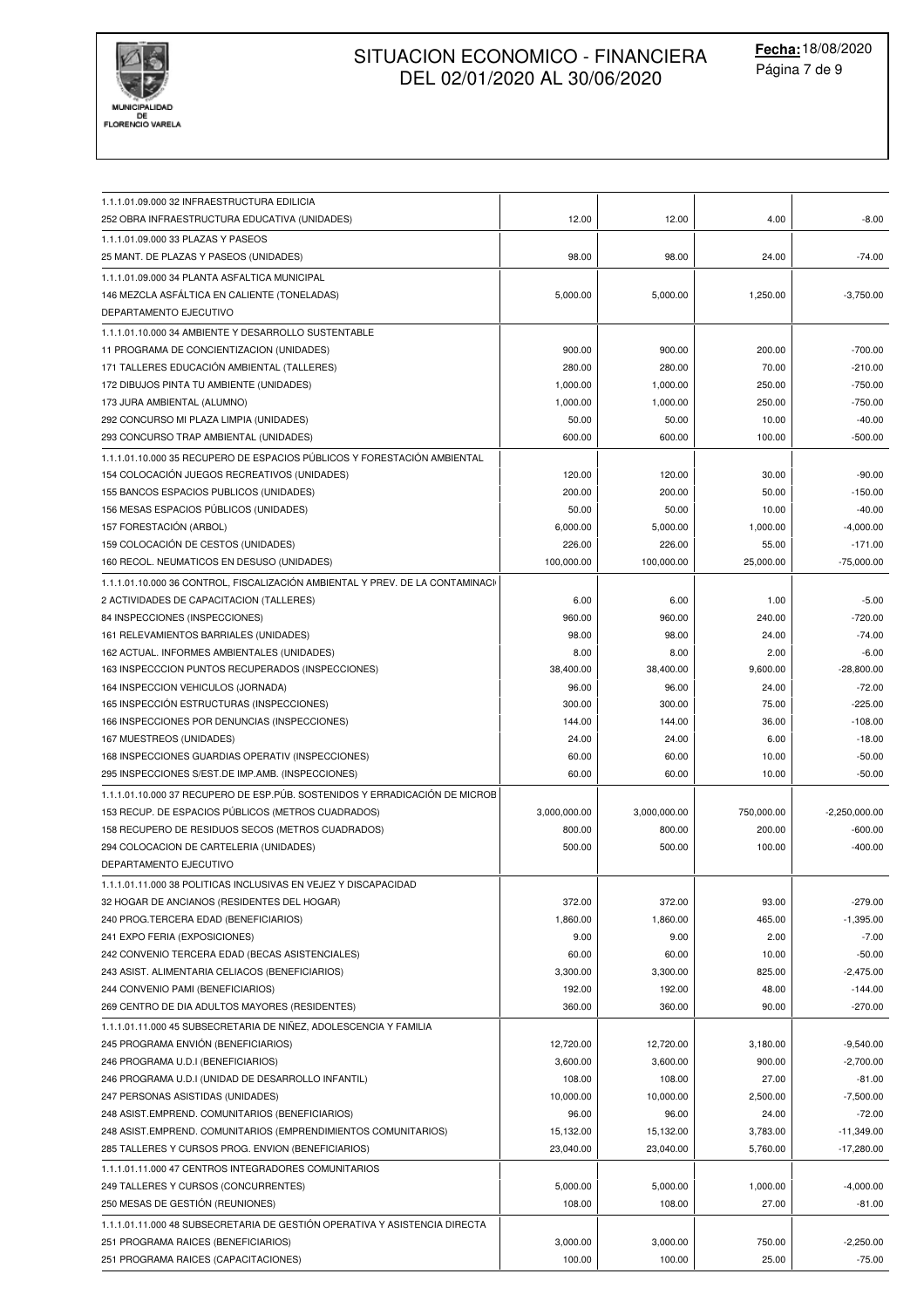

| 1.1.1.01.09.000 32 INFRAESTRUCTURA EDILICIA                                                        |                   |                   |                 |                         |
|----------------------------------------------------------------------------------------------------|-------------------|-------------------|-----------------|-------------------------|
| 252 OBRA INFRAESTRUCTURA EDUCATIVA (UNIDADES)                                                      | 12.00             | 12.00             | 4.00            | $-8.00$                 |
| 1.1.1.01.09.000 33 PLAZAS Y PASEOS                                                                 |                   |                   |                 |                         |
| 25 MANT. DE PLAZAS Y PASEOS (UNIDADES)                                                             | 98.00             | 98.00             | 24.00           | $-74.00$                |
| 1.1.1.01.09.000 34 PLANTA ASFALTICA MUNICIPAL                                                      |                   |                   |                 |                         |
| 146 MEZCLA ASFALTICA EN CALIENTE (TONELADAS)                                                       | 5,000.00          | 5,000.00          | 1,250.00        | $-3,750.00$             |
| DEPARTAMENTO EJECUTIVO                                                                             |                   |                   |                 |                         |
| 1.1.1.01.10.000 34 AMBIENTE Y DESARROLLO SUSTENTABLE                                               |                   |                   |                 |                         |
| 11 PROGRAMA DE CONCIENTIZACION (UNIDADES)                                                          | 900.00            | 900.00            | 200.00          | $-700.00$               |
| 171 TALLERES EDUCACIÓN AMBIENTAL (TALLERES)                                                        | 280.00            | 280.00            | 70.00           | $-210.00$               |
| 172 DIBUJOS PINTA TU AMBIENTE (UNIDADES)                                                           | 1,000.00          | 1,000.00          | 250.00          | $-750.00$               |
| 173 JURA AMBIENTAL (ALUMNO)                                                                        | 1,000.00          | 1,000.00          | 250.00          | $-750.00$               |
| 292 CONCURSO MI PLAZA LIMPIA (UNIDADES)                                                            | 50.00             | 50.00             | 10.00           | $-40.00$                |
| 293 CONCURSO TRAP AMBIENTAL (UNIDADES)                                                             | 600.00            | 600.00            | 100.00          | $-500.00$               |
| 1.1.1.01.10.000 35 RECUPERO DE ESPACIOS PÚBLICOS Y FORESTACIÓN AMBIENTAL                           |                   |                   |                 |                         |
| 154 COLOCACIÓN JUEGOS RECREATIVOS (UNIDADES)                                                       | 120.00            | 120.00            | 30.00           | $-90.00$                |
| 155 BANCOS ESPACIOS PUBLICOS (UNIDADES)                                                            | 200.00            | 200.00            | 50.00           | $-150.00$               |
| 156 MESAS ESPACIOS PÚBLICOS (UNIDADES)                                                             | 50.00             | 50.00             | 10.00           | $-40.00$                |
| 157 FORESTACIÓN (ARBOL)                                                                            | 6,000.00          | 5,000.00          | 1,000.00        | $-4,000.00$             |
| 159 COLOCACIÓN DE CESTOS (UNIDADES)                                                                | 226.00            | 226.00            | 55.00           | $-171.00$               |
| 160 RECOL. NEUMATICOS EN DESUSO (UNIDADES)                                                         | 100,000.00        | 100,000.00        | 25,000.00       | $-75,000.00$            |
| 1.1.1.01.10.000 36 CONTROL, FISCALIZACIÓN AMBIENTAL Y PREV. DE LA CONTAMINACI                      |                   |                   |                 |                         |
| 2 ACTIVIDADES DE CAPACITACION (TALLERES)                                                           | 6.00              | 6.00              | 1.00            | $-5.00$                 |
| 84 INSPECCIONES (INSPECCIONES)                                                                     | 960.00            | 960.00            | 240.00          | $-720.00$               |
| 161 RELEVAMIENTOS BARRIALES (UNIDADES)                                                             | 98.00             | 98.00             | 24.00           | $-74.00$                |
| 162 ACTUAL. INFORMES AMBIENTALES (UNIDADES)                                                        | 8.00              | 8.00              | 2.00            | $-6.00$                 |
| 163 INSPECCCION PUNTOS RECUPERADOS (INSPECCIONES)                                                  | 38,400.00         | 38,400.00         | 9,600.00        | $-28,800.00$            |
| 164 INSPECCION VEHICULOS (JORNADA)                                                                 | 96.00             | 96.00             | 24.00           | $-72.00$                |
| 165 INSPECCIÓN ESTRUCTURAS (INSPECCIONES)                                                          | 300.00            | 300.00            | 75.00           | $-225.00$               |
| 166 INSPECCIONES POR DENUNCIAS (INSPECCIONES)                                                      | 144.00            | 144.00            | 36.00           | $-108.00$               |
| 167 MUESTREOS (UNIDADES)                                                                           | 24.00             | 24.00             | 6.00            | $-18.00$                |
| 168 INSPECCIONES GUARDIAS OPERATIV (INSPECCIONES)                                                  | 60.00             | 60.00             | 10.00           | $-50.00$                |
| 295 INSPECCIONES S/EST.DE IMP.AMB. (INSPECCIONES)                                                  | 60.00             | 60.00             | 10.00           | $-50.00$                |
| 1.1.1.01.10.000 37 RECUPERO DE ESP.PÚB. SOSTENIDOS Y ERRADICACIÓN DE MICROE                        |                   |                   |                 |                         |
| 153 RECUP. DE ESPACIOS PÚBLICOS (METROS CUADRADOS)                                                 | 3,000,000.00      | 3,000,000.00      | 750,000.00      | $-2,250,000.00$         |
| 158 RECUPERO DE RESIDUOS SECOS (METROS CUADRADOS)                                                  | 800.00            | 800.00            | 200.00          | $-600.00$               |
| 294 COLOCACION DE CARTELERIA (UNIDADES)                                                            | 500.00            | 500.00            | 100.00          | $-400.00$               |
| DEPARTAMENTO EJECUTIVO                                                                             |                   |                   |                 |                         |
|                                                                                                    |                   |                   |                 |                         |
| 1.1.1.01.11.000 38 POLITICAS INCLUSIVAS EN VEJEZ Y DISCAPACIDAD                                    |                   |                   |                 |                         |
| 32 HOGAR DE ANCIANOS (RESIDENTES DEL HOGAR)                                                        | 372.00            | 372.00            | 93.00           | $-279.00$               |
| 240 PROG.TERCERA EDAD (BENEFICIARIOS)                                                              | 1,860.00          | 1,860.00          | 465.00          | $-1,395.00$             |
| 241 EXPO FERIA (EXPOSICIONES)                                                                      | 9.00              | 9.00              | 2.00            | $-7.00$                 |
| 242 CONVENIO TERCERA EDAD (BECAS ASISTENCIALES)<br>243 ASIST. ALIMENTARIA CELIACOS (BENEFICIARIOS) | 60.00<br>3,300.00 | 60.00<br>3,300.00 | 10.00<br>825.00 | $-50.00$<br>$-2,475.00$ |
| 244 CONVENIO PAMI (BENEFICIARIOS)                                                                  | 192.00            | 192.00            | 48.00           | $-144.00$               |
| 269 CENTRO DE DIA ADULTOS MAYORES (RESIDENTES)                                                     | 360.00            | 360.00            | 90.00           | $-270.00$               |
|                                                                                                    |                   |                   |                 |                         |
| 1.1.1.01.11.000 45 SUBSECRETARIA DE NIÑEZ, ADOLESCENCIA Y FAMILIA                                  |                   |                   |                 |                         |
| 245 PROGRAMA ENVIÓN (BENEFICIARIOS)                                                                | 12,720.00         | 12,720.00         | 3,180.00        | $-9,540.00$             |
| 246 PROGRAMA U.D.I (BENEFICIARIOS)                                                                 | 3,600.00          | 3,600.00          | 900.00          | $-2,700.00$             |
| 246 PROGRAMA U.D.I (UNIDAD DE DESARROLLO INFANTIL)                                                 | 108.00            | 108.00            | 27.00           | $-81.00$                |
| 247 PERSONAS ASISTIDAS (UNIDADES)                                                                  | 10,000.00         | 10,000.00         | 2,500.00        | $-7,500.00$             |
| 248 ASIST.EMPREND. COMUNITARIOS (BENEFICIARIOS)                                                    | 96.00             | 96.00             | 24.00           | $-72.00$                |
| 248 ASIST.EMPREND. COMUNITARIOS (EMPRENDIMIENTOS COMUNITARIOS)                                     | 15,132.00         | 15,132.00         | 3,783.00        | $-11,349.00$            |
| 285 TALLERES Y CURSOS PROG. ENVION (BENEFICIARIOS)                                                 | 23,040.00         | 23,040.00         | 5,760.00        | $-17,280.00$            |
| 1.1.1.01.11.000 47 CENTROS INTEGRADORES COMUNITARIOS                                               |                   |                   |                 |                         |
| 249 TALLERES Y CURSOS (CONCURRENTES)                                                               | 5,000.00          | 5,000.00          | 1,000.00        | $-4,000.00$             |
| 250 MESAS DE GESTIÓN (REUNIONES)                                                                   | 108.00            | 108.00            | 27.00           | $-81.00$                |
| 1.1.1.01.11.000 48 SUBSECRETARIA DE GESTIÓN OPERATIVA Y ASISTENCIA DIRECTA                         |                   |                   |                 |                         |
| 251 PROGRAMA RAICES (BENEFICIARIOS)                                                                | 3,000.00          | 3,000.00          | 750.00          | $-2,250.00$             |
| 251 PROGRAMA RAICES (CAPACITACIONES)                                                               | 100.00            | 100.00            | 25.00           | $-75.00$                |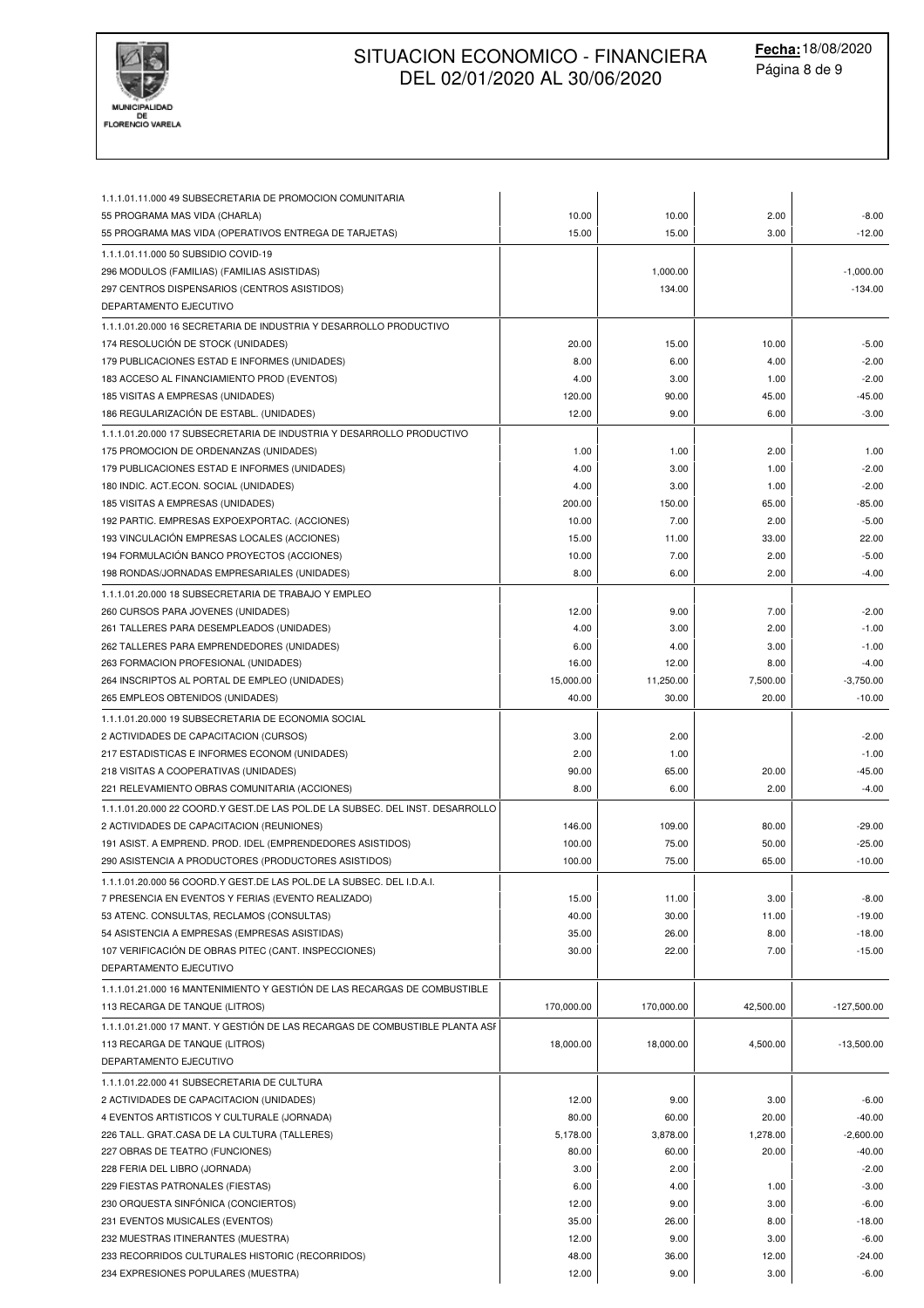

| 1.1.1.01.11.000 49 SUBSECRETARIA DE PROMOCION COMUNITARIA<br>55 PROGRAMA MAS VIDA (CHARLA) | 10.00           | 10.00         | 2.00          | $-8.00$             |
|--------------------------------------------------------------------------------------------|-----------------|---------------|---------------|---------------------|
| 55 PROGRAMA MAS VIDA (OPERATIVOS ENTREGA DE TARJETAS)                                      | 15.00           | 15.00         | 3.00          | $-12.00$            |
| 1.1.1.01.11.000 50 SUBSIDIO COVID-19                                                       |                 |               |               |                     |
| 296 MODULOS (FAMILIAS) (FAMILIAS ASISTIDAS)                                                |                 | 1,000.00      |               | $-1.000.00$         |
| 297 CENTROS DISPENSARIOS (CENTROS ASISTIDOS)                                               |                 | 134.00        |               | $-134.00$           |
| DEPARTAMENTO EJECUTIVO                                                                     |                 |               |               |                     |
|                                                                                            |                 |               |               |                     |
| 1.1.1.01.20.000 16 SECRETARIA DE INDUSTRIA Y DESARROLLO PRODUCTIVO                         |                 |               |               |                     |
| 174 RESOLUCIÓN DE STOCK (UNIDADES)                                                         | 20.00           | 15.00         | 10.00         | $-5.00$             |
| 179 PUBLICACIONES ESTAD E INFORMES (UNIDADES)                                              | 8.00            | 6.00          | 4.00          | $-2.00$             |
| 183 ACCESO AL FINANCIAMIENTO PROD (EVENTOS)                                                | 4.00            | 3.00          | 1.00          | $-2.00$             |
| 185 VISITAS A EMPRESAS (UNIDADES)<br>186 REGULARIZACIÓN DE ESTABL. (UNIDADES)              | 120.00<br>12.00 | 90.00<br>9.00 | 45.00<br>6.00 | $-45.00$<br>$-3.00$ |
|                                                                                            |                 |               |               |                     |
| 1.1.1.01.20.000 17 SUBSECRETARIA DE INDUSTRIA Y DESARROLLO PRODUCTIVO                      |                 |               |               |                     |
| 175 PROMOCION DE ORDENANZAS (UNIDADES)                                                     | 1.00            | 1.00          | 2.00          | 1.00                |
| 179 PUBLICACIONES ESTAD E INFORMES (UNIDADES)                                              | 4.00            | 3.00          | 1.00          | $-2.00$             |
| 180 INDIC. ACT.ECON. SOCIAL (UNIDADES)                                                     | 4.00            | 3.00          | 1.00          | $-2.00$             |
| 185 VISITAS A EMPRESAS (UNIDADES)                                                          | 200.00          | 150.00        | 65.00         | $-85.00$            |
| 192 PARTIC. EMPRESAS EXPOEXPORTAC. (ACCIONES)                                              | 10.00           | 7.00          | 2.00          | $-5.00$             |
| 193 VINCULACIÓN EMPRESAS LOCALES (ACCIONES)                                                | 15.00           | 11.00         | 33.00         | 22.00               |
| 194 FORMULACIÓN BANCO PROYECTOS (ACCIONES)                                                 | 10.00           | 7.00          | 2.00          | $-5.00$             |
| 198 RONDAS/JORNADAS EMPRESARIALES (UNIDADES)                                               | 8.00            | 6.00          | 2.00          | $-4.00$             |
| 1.1.1.01.20.000 18 SUBSECRETARIA DE TRABAJO Y EMPLEO                                       |                 |               |               |                     |
| 260 CURSOS PARA JOVENES (UNIDADES)                                                         | 12.00           | 9.00          | 7.00          | $-2.00$             |
| 261 TALLERES PARA DESEMPLEADOS (UNIDADES)                                                  | 4.00            | 3.00          | 2.00          | $-1.00$             |
| 262 TALLERES PARA EMPRENDEDORES (UNIDADES)                                                 | 6.00            | 4.00          | 3.00          | $-1.00$             |
| 263 FORMACION PROFESIONAL (UNIDADES)                                                       | 16.00           | 12.00         | 8.00          | $-4.00$             |
| 264 INSCRIPTOS AL PORTAL DE EMPLEO (UNIDADES)                                              | 15,000.00       | 11,250.00     | 7,500.00      | $-3,750.00$         |
| 265 EMPLEOS OBTENIDOS (UNIDADES)                                                           | 40.00           | 30.00         | 20.00         | $-10.00$            |
| 1.1.1.01.20.000 19 SUBSECRETARIA DE ECONOMIA SOCIAL                                        |                 |               |               |                     |
| 2 ACTIVIDADES DE CAPACITACION (CURSOS)                                                     | 3.00            | 2.00          |               | $-2.00$             |
| 217 ESTADISTICAS E INFORMES ECONOM (UNIDADES)                                              | 2.00            | 1.00          |               | $-1.00$             |
| 218 VISITAS A COOPERATIVAS (UNIDADES)                                                      | 90.00           | 65.00         | 20.00         | $-45.00$            |
| 221 RELEVAMIENTO OBRAS COMUNITARIA (ACCIONES)                                              | 8.00            | 6.00          | 2.00          | $-4.00$             |
| 1.1.1.01.20.000 22 COORD.Y GEST.DE LAS POL.DE LA SUBSEC. DEL INST. DESARROLLO              |                 |               |               |                     |
| 2 ACTIVIDADES DE CAPACITACION (REUNIONES)                                                  | 146.00          | 109.00        | 80.00         | $-29.00$            |
| 191 ASIST. A EMPREND. PROD. IDEL (EMPRENDEDORES ASISTIDOS)                                 | 100.00          | 75.00         | 50.00         | $-25.00$            |
| 290 ASISTENCIA A PRODUCTORES (PRODUCTORES ASISTIDOS)                                       | 100.00          | 75.00         | 65.00         | $-10.00$            |
| 1.1.1.01.20.000 56 COORD.Y GEST.DE LAS POL.DE LA SUBSEC. DEL I.D.A.I.                      |                 |               |               |                     |
| 7 PRESENCIA EN EVENTOS Y FERIAS (EVENTO REALIZADO)                                         | 15.00           | 11.00         | 3.00          | $-8.00$             |
| 53 ATENC. CONSULTAS, RECLAMOS (CONSULTAS)                                                  | 40.00           | 30.00         | 11.00         | $-19.00$            |
| 54 ASISTENCIA A EMPRESAS (EMPRESAS ASISTIDAS)                                              | 35.00           | 26.00         | 8.00          | $-18.00$            |
| 107 VERIFICACIÓN DE OBRAS PITEC (CANT. INSPECCIONES)                                       | 30.00           | 22.00         | 7.00          | $-15.00$            |
| DEPARTAMENTO EJECUTIVO                                                                     |                 |               |               |                     |
| 1.1.1.01.21.000 16 MANTENIMIENTO Y GESTIÓN DE LAS RECARGAS DE COMBUSTIBLE                  |                 |               |               |                     |
| 113 RECARGA DE TANQUE (LITROS)                                                             | 170,000.00      | 170,000.00    | 42,500.00     | $-127,500.00$       |
| 1.1.1.01.21.000 17 MANT. Y GESTIÓN DE LAS RECARGAS DE COMBUSTIBLE PLANTA ASI               |                 |               |               |                     |
| 113 RECARGA DE TANQUE (LITROS)                                                             | 18,000.00       | 18,000.00     | 4,500.00      | $-13,500.00$        |
| DEPARTAMENTO EJECUTIVO                                                                     |                 |               |               |                     |
| 1.1.1.01.22.000 41 SUBSECRETARIA DE CULTURA                                                |                 |               |               |                     |
| 2 ACTIVIDADES DE CAPACITACION (UNIDADES)                                                   | 12.00           | 9.00          | 3.00          | $-6.00$             |
| 4 EVENTOS ARTISTICOS Y CULTURALE (JORNADA)                                                 | 80.00           | 60.00         | 20.00         | $-40.00$            |
| 226 TALL. GRAT.CASA DE LA CULTURA (TALLERES)                                               | 5,178.00        | 3,878.00      | 1,278.00      | $-2,600.00$         |
| 227 OBRAS DE TEATRO (FUNCIONES)                                                            | 80.00           | 60.00         | 20.00         | $-40.00$            |
| 228 FERIA DEL LIBRO (JORNADA)                                                              | 3.00            | 2.00          |               | $-2.00$             |
| 229 FIESTAS PATRONALES (FIESTAS)                                                           | 6.00            | 4.00          | 1.00          | $-3.00$             |
| 230 ORQUESTA SINFÓNICA (CONCIERTOS)                                                        | 12.00           | 9.00          | 3.00          | $-6.00$             |
| 231 EVENTOS MUSICALES (EVENTOS)                                                            | 35.00           | 26.00         | 8.00          | $-18.00$            |
| 232 MUESTRAS ITINERANTES (MUESTRA)                                                         | 12.00           | 9.00          | 3.00          | $-6.00$             |
| 233 RECORRIDOS CULTURALES HISTORIC (RECORRIDOS)                                            | 48.00           | 36.00         | 12.00         | -24.00              |
| 234 EXPRESIONES POPULARES (MUESTRA)                                                        | 12.00           | 9.00          | 3.00          | $-6.00$             |
|                                                                                            |                 |               |               |                     |